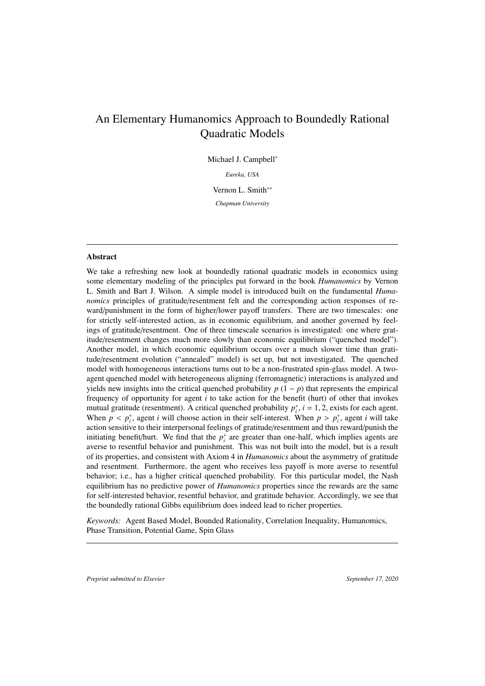# An Elementary Humanomics Approach to Boundedly Rational Quadratic Models

Michael J. Campbell<sup>∗</sup>

*Eureka, USA*

Vernon L. Smith∗∗ *Chapman University*

## Abstract

We take a refreshing new look at boundedly rational quadratic models in economics using some elementary modeling of the principles put forward in the book *Humanomics* by Vernon L. Smith and Bart J. Wilson. A simple model is introduced built on the fundamental *Humanomics* principles of gratitude/resentment felt and the corresponding action responses of reward/punishment in the form of higher/lower payoff transfers. There are two timescales: one for strictly self-interested action, as in economic equilibrium, and another governed by feelings of gratitude/resentment. One of three timescale scenarios is investigated: one where gratitude/resentment changes much more slowly than economic equilibrium ("quenched model"). Another model, in which economic equilibrium occurs over a much slower time than gratitude/resentment evolution ("annealed" model) is set up, but not investigated. The quenched model with homogeneous interactions turns out to be a non-frustrated spin-glass model. A twoagent quenched model with heterogeneous aligning (ferromagnetic) interactions is analyzed and yields new insights into the critical quenched probability  $p(1 - p)$  that represents the empirical frequency of opportunity for agent *i* to take action for the benefit (hurt) of other that invokes mutual gratitude (resentment). A critical quenched probability  $p_i^*$ ,  $i = 1, 2$ , exists for each agent.<br>When  $p_i \geq p_i^*$ , agent *i* will choose action in their self-interest. When  $p_i \geq p_i^*$  agent *i* will take When  $p < p_i^*$ , agent *i* will choose action in their self-interest. When  $p > p_i^*$ , agent *i* will take action sensitive to their interpersonal feelings of gratitude/resentment and thus reward/punish the initiating benefit/hurt. We find that the  $p_i^*$  are greater than one-half, which implies agents are averse to resentful behavior and punishment. This was not built into the model, but is a result of its properties, and consistent with Axiom 4 in *Humanomics* about the asymmetry of gratitude and resentment. Furthermore, the agent who receives less payoff is more averse to resentful behavior; i.e., has a higher critical quenched probability. For this particular model, the Nash equilibrium has no predictive power of *Humanomics* properties since the rewards are the same for self-interested behavior, resentful behavior, and gratitude behavior. Accordingly, we see that the boundedly rational Gibbs equilibrium does indeed lead to richer properties.

*Keywords:* Agent Based Model, Bounded Rationality, Correlation Inequality, Humanomics, Phase Transition, Potential Game, Spin Glass

*Preprint submitted to Elsevier* September 17, 2020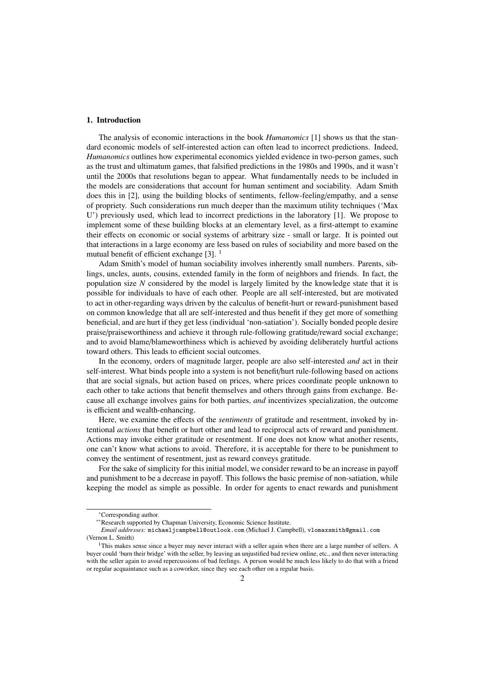# 1. Introduction

The analysis of economic interactions in the book *Humanomics* [1] shows us that the standard economic models of self-interested action can often lead to incorrect predictions. Indeed, *Humanomics* outlines how experimental economics yielded evidence in two-person games, such as the trust and ultimatum games, that falsified predictions in the 1980s and 1990s, and it wasn't until the 2000s that resolutions began to appear. What fundamentally needs to be included in the models are considerations that account for human sentiment and sociability. Adam Smith does this in [2], using the building blocks of sentiments, fellow-feeling/empathy, and a sense of propriety. Such considerations run much deeper than the maximum utility techniques ('Max U') previously used, which lead to incorrect predictions in the laboratory [1]. We propose to implement some of these building blocks at an elementary level, as a first-attempt to examine their effects on economic or social systems of arbitrary size - small or large. It is pointed out that interactions in a large economy are less based on rules of sociability and more based on the mutual benefit of efficient exchange  $[3]$ . <sup>1</sup>

Adam Smith's model of human sociability involves inherently small numbers. Parents, siblings, uncles, aunts, cousins, extended family in the form of neighbors and friends. In fact, the population size *N* considered by the model is largely limited by the knowledge state that it is possible for individuals to have of each other. People are all self-interested, but are motivated to act in other-regarding ways driven by the calculus of benefit-hurt or reward-punishment based on common knowledge that all are self-interested and thus benefit if they get more of something beneficial, and are hurt if they get less (individual 'non-satiation'). Socially bonded people desire praise/praiseworthiness and achieve it through rule-following gratitude/reward social exchange; and to avoid blame/blameworthiness which is achieved by avoiding deliberately hurtful actions toward others. This leads to efficient social outcomes.

In the economy, orders of magnitude larger, people are also self-interested *and* act in their self-interest. What binds people into a system is not benefit/hurt rule-following based on actions that are social signals, but action based on prices, where prices coordinate people unknown to each other to take actions that benefit themselves and others through gains from exchange. Because all exchange involves gains for both parties, *and* incentivizes specialization, the outcome is efficient and wealth-enhancing.

Here, we examine the effects of the *sentiments* of gratitude and resentment, invoked by intentional *actions* that benefit or hurt other and lead to reciprocal acts of reward and punishment. Actions may invoke either gratitude or resentment. If one does not know what another resents, one can't know what actions to avoid. Therefore, it is acceptable for there to be punishment to convey the sentiment of resentment, just as reward conveys gratitude.

For the sake of simplicity for this initial model, we consider reward to be an increase in payoff and punishment to be a decrease in payoff. This follows the basic premise of non-satiation, while keeping the model as simple as possible. In order for agents to enact rewards and punishment

<sup>∗</sup>Corresponding author.

<sup>∗∗</sup>Research supported by Chapman University, Economic Science Institute.

*Email addresses:* michaeljcampbell@outlook.com (Michael J. Campbell), vlomaxsmith@gmail.com (Vernon L. Smith)

<sup>&</sup>lt;sup>1</sup>This makes sense since a buyer may never interact with a seller again when there are a large number of sellers. A buyer could 'burn their bridge' with the seller, by leaving an unjustified bad review online, etc., and then never interacting with the seller again to avoid repercussions of bad feelings. A person would be much less likely to do that with a friend or regular acquaintance such as a coworker, since they see each other on a regular basis.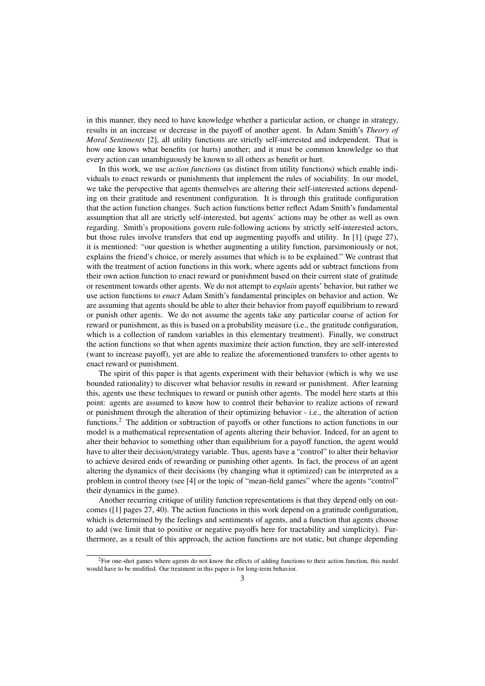in this manner, they need to have knowledge whether a particular action, or change in strategy, results in an increase or decrease in the payoff of another agent. In Adam Smith's *Theory of Moral Sentiments* [2], all utility functions are strictly self-interested and independent. That is how one knows what benefits (or hurts) another; and it must be common knowledge so that every action can unambiguously be known to all others as benefit or hurt.

In this work, we use *action functions* (as distinct from utility functions) which enable individuals to enact rewards or punishments that implement the rules of sociability. In our model, we take the perspective that agents themselves are altering their self-interested actions depending on their gratitude and resentment configuration. It is through this gratitude configuration that the action function changes. Such action functions better reflect Adam Smith's fundamental assumption that all are strictly self-interested, but agents' actions may be other as well as own regarding. Smith's propositions govern rule-following actions by strictly self-interested actors, but those rules involve transfers that end up augmenting payoffs and utility. In [1] (page 27), it is mentioned: "our question is whether augmenting a utility function, parsimoniously or not, explains the friend's choice, or merely assumes that which is to be explained." We contrast that with the treatment of action functions in this work, where agents add or subtract functions from their own action function to enact reward or punishment based on their current state of gratitude or resentment towards other agents. We do not attempt to *explain* agents' behavior, but rather we use action functions to *enact* Adam Smith's fundamental principles on behavior and action. We are assuming that agents should be able to alter their behavior from payoff equilibrium to reward or punish other agents. We do not assume the agents take any particular course of action for reward or punishment, as this is based on a probability measure (i.e., the gratitude configuration, which is a collection of random variables in this elementary treatment). Finally, we construct the action functions so that when agents maximize their action function, they are self-interested (want to increase payoff), yet are able to realize the aforementioned transfers to other agents to enact reward or punishment.

The spirit of this paper is that agents experiment with their behavior (which is why we use bounded rationality) to discover what behavior results in reward or punishment. After learning this, agents use these techniques to reward or punish other agents. The model here starts at this point: agents are assumed to know how to control their behavior to realize actions of reward or punishment through the alteration of their optimizing behavior - i.e., the alteration of action functions.<sup>2</sup> The addition or subtraction of payoffs or other functions to action functions in our model is a mathematical representation of agents altering their behavior. Indeed, for an agent to alter their behavior to something other than equilibrium for a payoff function, the agent would have to alter their decision/strategy variable. Thus, agents have a "control" to alter their behavior to achieve desired ends of rewarding or punishing other agents. In fact, the process of an agent altering the dynamics of their decisions (by changing what it optimized) can be interpreted as a problem in control theory (see [4] or the topic of "mean-field games" where the agents "control" their dynamics in the game).

Another recurring critique of utility function representations is that they depend only on outcomes ([1] pages 27, 40). The action functions in this work depend on a gratitude configuration, which is determined by the feelings and sentiments of agents, and a function that agents choose to add (we limit that to positive or negative payoffs here for tractability and simplicity). Furthermore, as a result of this approach, the action functions are not static, but change depending

 ${}^{2}$ For one-shot games where agents do not know the effects of adding functions to their action function, this model would have to be modified. Our treatment in this paper is for long-term behavior.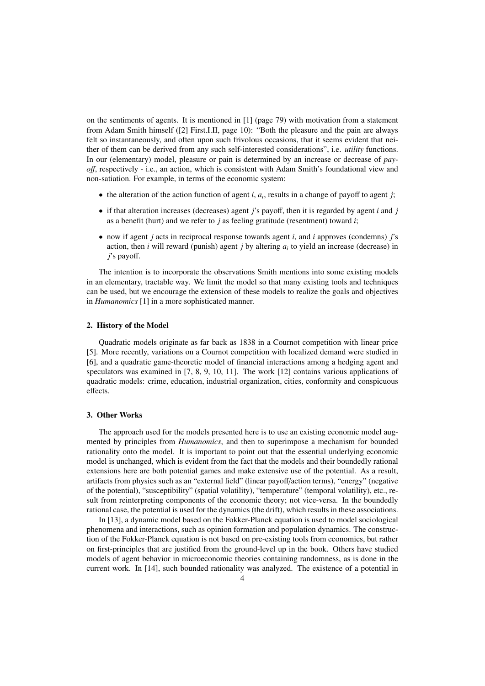on the sentiments of agents. It is mentioned in [1] (page 79) with motivation from a statement from Adam Smith himself ([2] First.I.II, page 10): "Both the pleasure and the pain are always felt so instantaneously, and often upon such frivolous occasions, that it seems evident that neither of them can be derived from any such self-interested considerations", i.e. *utility* functions. In our (elementary) model, pleasure or pain is determined by an increase or decrease of *payo*ff, respectively - i.e., an action, which is consistent with Adam Smith's foundational view and non-satiation. For example, in terms of the economic system:

- the alteration of the action function of agent  $i$ ,  $a_i$ , results in a change of payoff to agent  $j$ ;
- if that alteration increases (decreases) agent *j*'s payoff, then it is regarded by agent *i* and *j* as a benefit (hurt) and we refer to *j* as feeling gratitude (resentment) toward *i*;
- now if agent *j* acts in reciprocal response towards agent *i*, and *i* approves (condemns) *j*'s action, then *i* will reward (punish) agent *j* by altering *a<sup>i</sup>* to yield an increase (decrease) in *j*'s payoff.

The intention is to incorporate the observations Smith mentions into some existing models in an elementary, tractable way. We limit the model so that many existing tools and techniques can be used, but we encourage the extension of these models to realize the goals and objectives in *Humanomics* [1] in a more sophisticated manner.

## 2. History of the Model

Quadratic models originate as far back as 1838 in a Cournot competition with linear price [5]. More recently, variations on a Cournot competition with localized demand were studied in [6], and a quadratic game-theoretic model of financial interactions among a hedging agent and speculators was examined in [7, 8, 9, 10, 11]. The work [12] contains various applications of quadratic models: crime, education, industrial organization, cities, conformity and conspicuous effects.

# 3. Other Works

The approach used for the models presented here is to use an existing economic model augmented by principles from *Humanomics*, and then to superimpose a mechanism for bounded rationality onto the model. It is important to point out that the essential underlying economic model is unchanged, which is evident from the fact that the models and their boundedly rational extensions here are both potential games and make extensive use of the potential. As a result, artifacts from physics such as an "external field" (linear payoff/action terms), "energy" (negative of the potential), "susceptibility" (spatial volatility), "temperature" (temporal volatility), etc., result from reinterpreting components of the economic theory; not vice-versa. In the boundedly rational case, the potential is used for the dynamics (the drift), which results in these associations.

In [13], a dynamic model based on the Fokker-Planck equation is used to model sociological phenomena and interactions, such as opinion formation and population dynamics. The construction of the Fokker-Planck equation is not based on pre-existing tools from economics, but rather on first-principles that are justified from the ground-level up in the book. Others have studied models of agent behavior in microeconomic theories containing randomness, as is done in the current work. In [14], such bounded rationality was analyzed. The existence of a potential in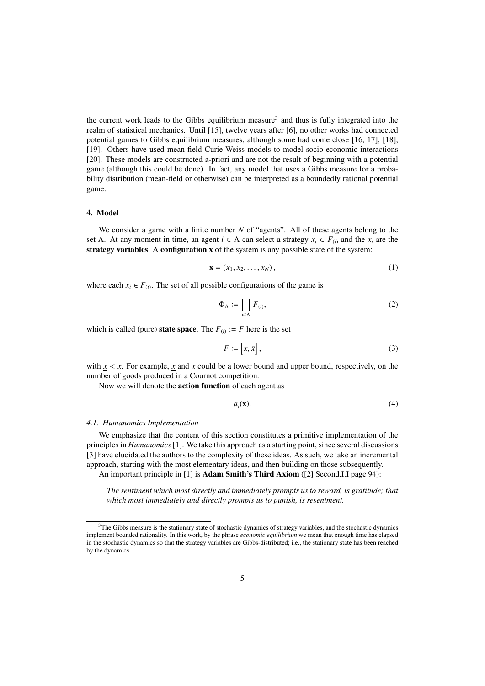the current work leads to the Gibbs equilibrium measure<sup>3</sup> and thus is fully integrated into the realm of statistical mechanics. Until [15], twelve years after [6], no other works had connected potential games to Gibbs equilibrium measures, although some had come close [16, 17], [18], [19]. Others have used mean-field Curie-Weiss models to model socio-economic interactions [20]. These models are constructed a-priori and are not the result of beginning with a potential game (although this could be done). In fact, any model that uses a Gibbs measure for a probability distribution (mean-field or otherwise) can be interpreted as a boundedly rational potential game.

# 4. Model

We consider a game with a finite number *N* of "agents". All of these agents belong to the set Λ. At any moment in time, an agent  $i \in \Lambda$  can select a strategy  $x_i \in F_{(i)}$  and the  $x_i$  are the strategy variables. A configuration x of the system is any possible state of the system:

$$
\mathbf{x} = (x_1, x_2, \dots, x_N),\tag{1}
$$

where each  $x_i \in F_{(i)}$ . The set of all possible configurations of the game is

$$
\Phi_{\Lambda} := \prod_{i \in \Lambda} F_{(i)},\tag{2}
$$

which is called (pure) **state space**. The  $F(i) := F$  here is the set

$$
F := \left[ \underline{x}, \overline{x} \right],\tag{3}
$$

with  $x < \bar{x}$ . For example, <u>x</u> and  $\bar{x}$  could be a lower bound and upper bound, respectively, on the number of goods produced in a Cournot competition.

Now we will denote the action function of each agent as

$$
a_i(\mathbf{x}).\tag{4}
$$

#### *4.1. Humanomics Implementation*

We emphasize that the content of this section constitutes a primitive implementation of the principles in *Humanomics* [1]. We take this approach as a starting point, since several discussions [3] have elucidated the authors to the complexity of these ideas. As such, we take an incremental approach, starting with the most elementary ideas, and then building on those subsequently.

An important principle in [1] is Adam Smith's Third Axiom ([2] Second.I.I page 94):

*The sentiment which most directly and immediately prompts us to reward, is gratitude; that which most immediately and directly prompts us to punish, is resentment.*

 $3$ The Gibbs measure is the stationary state of stochastic dynamics of strategy variables, and the stochastic dynamics implement bounded rationality. In this work, by the phrase *economic equilibrium* we mean that enough time has elapsed in the stochastic dynamics so that the strategy variables are Gibbs-distributed; i.e., the stationary state has been reached by the dynamics.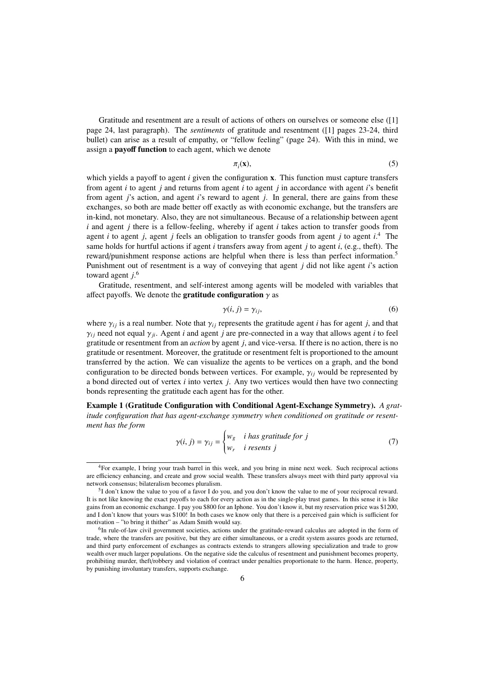Gratitude and resentment are a result of actions of others on ourselves or someone else ([1] page 24, last paragraph). The *sentiments* of gratitude and resentment ([1] pages 23-24, third bullet) can arise as a result of empathy, or "fellow feeling" (page 24). With this in mind, we assign a payoff function to each agent, which we denote

$$
\pi_i(\mathbf{x}),\tag{5}
$$

which yields a payoff to agent *i* given the configuration **x**. This function must capture transfers from agent *i* to agent *j* and returns from agent *i* to agent *j* in accordance with agent *i*'s benefit from agent *j*'s action, and agent *i*'s reward to agent *j*. In general, there are gains from these exchanges, so both are made better off exactly as with economic exchange, but the transfers are in-kind, not monetary. Also, they are not simultaneous. Because of a relationship between agent *i* and agent *j* there is a fellow-feeling, whereby if agent *i* takes action to transfer goods from agent *i* to agent *j*, agent *j* feels an obligation to transfer goods from agent *j* to agent *i*. <sup>4</sup> The same holds for hurtful actions if agent *i* transfers away from agent *j* to agent *i*, (e.g., theft). The reward/punishment response actions are helpful when there is less than perfect information.<sup>5</sup> Punishment out of resentment is a way of conveying that agent *j* did not like agent *i*'s action toward agent *j*. 6

Gratitude, resentment, and self-interest among agents will be modeled with variables that affect payoffs. We denote the **gratitude configuration**  $\gamma$  as

$$
\gamma(i,j) = \gamma_{ij},\tag{6}
$$

where  $\gamma_{ij}$  is a real number. Note that  $\gamma_{ij}$  represents the gratitude agent *i* has for agent *j*, and that  $\gamma_{ij}$  need not equal  $\gamma_{ji}$ . Agent *i* and agent *j* are pre-connected in a way that allows agent *i* to feel gratitude or resentment from an *action* by agent *j*, and vice-versa. If there is no action, there is no gratitude or resentment. Moreover, the gratitude or resentment felt is proportioned to the amount transferred by the action. We can visualize the agents to be vertices on a graph, and the bond configuration to be directed bonds between vertices. For example,  $\gamma_{ij}$  would be represented by a bond directed out of vertex *i* into vertex *j*. Any two vertices would then have two connecting bonds representing the gratitude each agent has for the other.

Example 1 (Gratitude Configuration with Conditional Agent-Exchange Symmetry). *A gratitude configuration that has agent-exchange symmetry when conditioned on gratitude or resentment has the form*

$$
\gamma(i, j) = \gamma_{ij} = \begin{cases} w_g & i \text{ has } gratitude \text{ for } j \\ w_r & i \text{ resents } j \end{cases}
$$
 (7)

<sup>4</sup>For example, I bring your trash barrel in this week, and you bring in mine next week. Such reciprocal actions are efficiency enhancing, and create and grow social wealth. These transfers always meet with third party approval via network consensus; bilateralism becomes pluralism.

<sup>5</sup> I don't know the value to you of a favor I do you, and you don't know the value to me of your reciprocal reward. It is not like knowing the exact payoffs to each for every action as in the single-play trust games. In this sense it is like gains from an economic exchange. I pay you \$800 for an Iphone. You don't know it, but my reservation price was \$1200, and I don't know that yours was \$100! In both cases we know only that there is a perceived gain which is sufficient for motivation – "to bring it thither" as Adam Smith would say.

<sup>&</sup>lt;sup>6</sup>In rule-of-law civil government societies, actions under the gratitude-reward calculus are adopted in the form of trade, where the transfers are positive, but they are either simultaneous, or a credit system assures goods are returned, and third party enforcement of exchanges as contracts extends to strangers allowing specialization and trade to grow wealth over much larger populations. On the negative side the calculus of resentment and punishment becomes property, prohibiting murder, theft/robbery and violation of contract under penalties proportionate to the harm. Hence, property, by punishing involuntary transfers, supports exchange.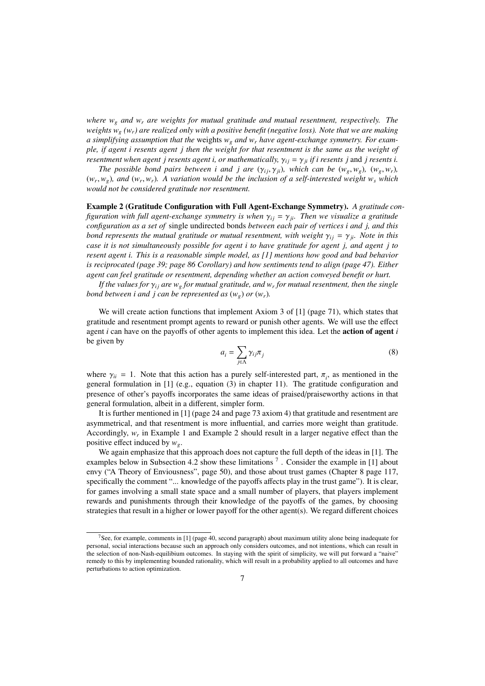*where w<sup>g</sup> and w<sup>r</sup> are weights for mutual gratitude and mutual resentment, respectively. The weights w<sup>g</sup> (wr) are realized only with a positive benefit (negative loss). Note that we are making a simplifying assumption that the* weights *w<sup>g</sup> and w<sup>r</sup> have agent-exchange symmetry. For example, if agent i resents agent j then the weight for that resentment is the same as the weight of resentment when agent j resents agent i, or mathematically,*  $\gamma_{ij} = \gamma_{ji}$  *if i resents j* and *j resents i.* 

*The possible bond pairs between i and j are*  $(\gamma_{ij}, \gamma_{ji})$ *, which can be*  $(w_g, w_g)$ ,  $(w_g, w_r)$ ,  $(w_r, w_g)$ , and  $(w_r, w_r)$ . A variation would be the inclusion of a self-interested weight  $w_s$  which would not be considered aratitude nor resentment *would not be considered gratitude nor resentment.*

Example 2 (Gratitude Configuration with Full Agent-Exchange Symmetry). *A gratitude configuration with full agent-exchange symmetry is when*  $\gamma_{ij} = \gamma_{ji}$ *. Then we visualize a gratitude configuration as a set of* single undirected bonds *between each pair of vertices i and j, and this bond represents the mutual gratitude or mutual resentment, with weight*  $\gamma_{ii} = \gamma_{ii}$ *. Note in this case it is not simultaneously possible for agent i to have gratitude for agent j, and agent j to resent agent i. This is a reasonable simple model, as [1] mentions how good and bad behavior is reciprocated (page 39; page 86 Corollary) and how sentiments tend to align (page 47). Either agent can feel gratitude or resentment, depending whether an action conveyed benefit or hurt.*

*If the values for*  $γ_{ij}$  *are*  $w_g$  *for mutual gratitude, and*  $w_r$  *for mutual resentment, then the single*<br>*d hetween i and i can be represented as (w) or (w) bond between i and j can be represented as*  $(w_g)$  *or*  $(w_r)$ *.* 

We will create action functions that implement Axiom 3 of [1] (page 71), which states that gratitude and resentment prompt agents to reward or punish other agents. We will use the effect agent *i* can have on the payoffs of other agents to implement this idea. Let the action of agent *i* be given by

$$
a_i = \sum_{j \in \Lambda} \gamma_{ij} \pi_j \tag{8}
$$

where  $\gamma_{ii} = 1$ . Note that this action has a purely self-interested part,  $\pi_i$ , as mentioned in the general formulation in [1] (e.g. equation (3) in chapter 11). The gratitude configuration and general formulation in  $[1]$  (e.g., equation (3) in chapter 11). The gratitude configuration and presence of other's payoffs incorporates the same ideas of praised/praiseworthy actions in that general formulation, albeit in a different, simpler form.

It is further mentioned in [1] (page 24 and page 73 axiom 4) that gratitude and resentment are asymmetrical, and that resentment is more influential, and carries more weight than gratitude. Accordingly, *w<sup>r</sup>* in Example 1 and Example 2 should result in a larger negative effect than the positive effect induced by *wg*.

We again emphasize that this approach does not capture the full depth of the ideas in [1]. The examples below in Subsection 4.2 show these limitations<sup>7</sup>. Consider the example in [1] about envy ("A Theory of Enviousness", page 50), and those about trust games (Chapter 8 page 117, specifically the comment "... knowledge of the payoffs affects play in the trust game"). It is clear, for games involving a small state space and a small number of players, that players implement rewards and punishments through their knowledge of the payoffs of the games, by choosing strategies that result in a higher or lower payoff for the other agent(s). We regard different choices

<sup>&</sup>lt;sup>7</sup>See, for example, comments in [1] (page 40, second paragraph) about maximum utility alone being inadequate for personal, social interactions because such an approach only considers outcomes, and not intentions, which can result in the selection of non-Nash-equilibium outcomes. In staying with the spirit of simplicity, we will put forward a "naive" remedy to this by implementing bounded rationality, which will result in a probability applied to all outcomes and have perturbations to action optimization.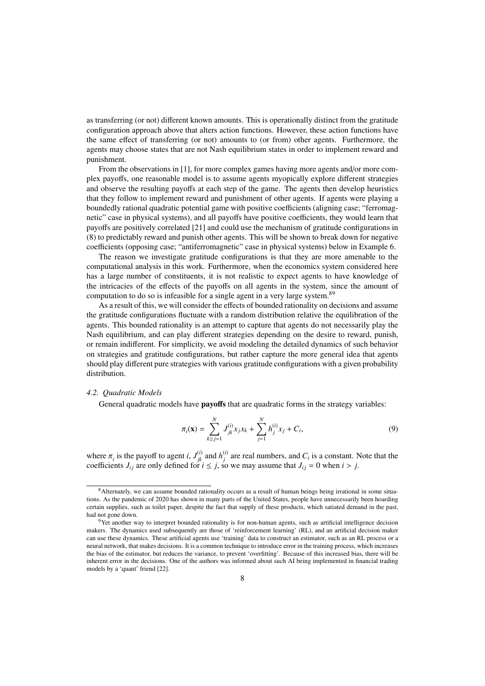as transferring (or not) different known amounts. This is operationally distinct from the gratitude configuration approach above that alters action functions. However, these action functions have the same effect of transferring (or not) amounts to (or from) other agents. Furthermore, the agents may choose states that are not Nash equilibrium states in order to implement reward and punishment.

From the observations in [1], for more complex games having more agents and/or more complex payoffs, one reasonable model is to assume agents myopically explore different strategies and observe the resulting payoffs at each step of the game. The agents then develop heuristics that they follow to implement reward and punishment of other agents. If agents were playing a boundedly rational quadratic potential game with positive coefficients (aligning case; "ferromagnetic" case in physical systems), and all payoffs have positive coefficients, they would learn that payoffs are positively correlated [21] and could use the mechanism of gratitude configurations in (8) to predictably reward and punish other agents. This will be shown to break down for negative coefficients (opposing case; "antiferromagnetic" case in physical systems) below in Example 6.

The reason we investigate gratitude configurations is that they are more amenable to the computational analysis in this work. Furthermore, when the economics system considered here has a large number of constituents, it is not realistic to expect agents to have knowledge of the intricacies of the effects of the payoffs on all agents in the system, since the amount of computation to do so is infeasible for a single agent in a very large system.<sup>89</sup>

As a result of this, we will consider the effects of bounded rationality on decisions and assume the gratitude configurations fluctuate with a random distribution relative the equilibration of the agents. This bounded rationality is an attempt to capture that agents do not necessarily play the Nash equilibrium, and can play different strategies depending on the desire to reward, punish, or remain indifferent. For simplicity, we avoid modeling the detailed dynamics of such behavior on strategies and gratitude configurations, but rather capture the more general idea that agents should play different pure strategies with various gratitude configurations with a given probability distribution.

#### *4.2. Quadratic Models*

General quadratic models have **payoffs** that are quadratic forms in the strategy variables:

$$
\pi_i(\mathbf{x}) = \sum_{k \ge j=1}^N J_{jk}^{(i)} x_j x_k + \sum_{j=1}^N h_j^{(i)} x_j + C_i,
$$
\n(9)

where  $\pi_i$  is the payoff to agent *i*,  $J_{jk}^{(i)}$  and  $h_j^{(i)}$  are real numbers, and  $C_i$  is a constant. Note that the coefficients  $I_{kj}$  are only defined for  $i < i$  so we may assume that  $I_{kj} = 0$  when  $i > i$ coefficients *J*<sub>*i*</sub> are only defined for  $i \le j$ , so we may assume that *J*<sub>*i*</sub> = 0 when  $i > j$ .

<sup>8</sup>Alternately, we can assume bounded rationality occurs as a result of human beings being irrational in some situations. As the pandemic of 2020 has shown in many parts of the United States, people have unnecessarily been hoarding certain supplies, such as toilet paper, despite the fact that supply of these products, which satiated demand in the past, had not gone down.

<sup>9</sup>Yet another way to interpret bounded rationality is for non-human agents, such as artificial intelligence decision makers. The dynamics used subsequently are those of 'reinforcement learning' (RL), and an artificial decision maker can use these dynamics. These artificial agents use 'training' data to construct an estimator, such as an RL process or a neural network, that makes decisions. It is a common technique to introduce error in the training process, which increases the bias of the estimator, but reduces the variance, to prevent 'overfitting'. Because of this increased bias, there will be inherent error in the decisions. One of the authors was informed about such AI being implemented in financial trading models by a 'quant' friend [22].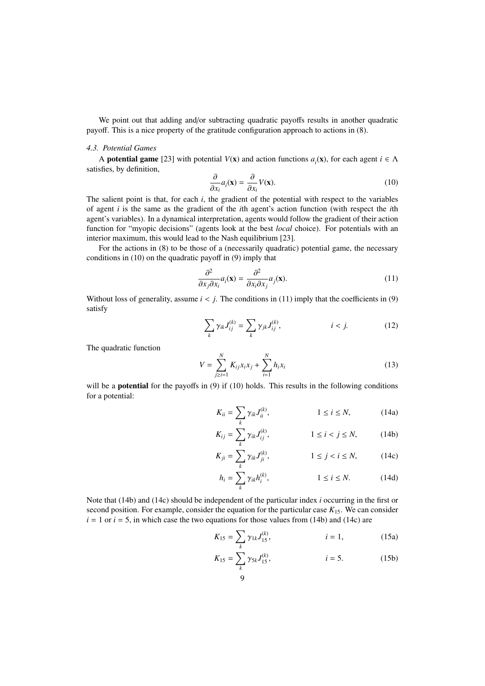We point out that adding and/or subtracting quadratic payoffs results in another quadratic payoff. This is a nice property of the gratitude configuration approach to actions in (8).

### *4.3. Potential Games*

A **potential game** [23] with potential  $V(\mathbf{x})$  and action functions  $a_i(\mathbf{x})$ , for each agent  $i \in \Lambda$ satisfies, by definition,

$$
\frac{\partial}{\partial x_i} a_i(\mathbf{x}) = \frac{\partial}{\partial x_i} V(\mathbf{x}).
$$
\n(10)

 $\frac{\partial x_i}{\partial x_i}$   $\frac{\partial x_i}{\partial x_i}$   $\frac{\partial x_i}{\partial x_i}$  (12) of agent *i* is the same as the gradient of the *i*th agent's action function (with respect the *i*th agent's variables). In a dynamical interpretation, agents would follow the gradient of their action function for "myopic decisions" (agents look at the best *local* choice). For potentials with an interior maximum, this would lead to the Nash equilibrium [23].

For the actions in (8) to be those of a (necessarily quadratic) potential game, the necessary conditions in (10) on the quadratic payoff in (9) imply that

$$
\frac{\partial^2}{\partial x_j \partial x_i} a_i(\mathbf{x}) = \frac{\partial^2}{\partial x_i \partial x_j} a_j(\mathbf{x}).
$$
\n(11)

Without loss of generality, assume  $i < j$ . The conditions in (11) imply that the coefficients in (9) satisfy

$$
\sum_{k} \gamma_{ik} J_{ij}^{(k)} = \sum_{k} \gamma_{jk} J_{ij}^{(k)}, \qquad i < j. \tag{12}
$$

The quadratic function

$$
V = \sum_{j \ge i=1}^{N} K_{ij} x_i x_j + \sum_{i=1}^{N} h_i x_i
$$
 (13)

will be a **potential** for the payoffs in (9) if (10) holds. This results in the following conditions for a potential:

$$
K_{ii} = \sum_{k} \gamma_{ik} J_{ii}^{(k)}, \qquad \qquad 1 \le i \le N,
$$
 (14a)

$$
K_{ij} = \sum_{k} \gamma_{ik} J_{ij}^{(k)}, \qquad \qquad 1 \le i < j \le N, \qquad (14b)
$$

$$
K_{ji} = \sum_{k} \gamma_{ik} J_{ji}^{(k)}, \qquad \qquad 1 \le j < i \le N, \qquad (14c)
$$

$$
h_i = \sum_k \gamma_{ik} h_i^{(k)}, \qquad \qquad 1 \le i \le N. \tag{14d}
$$

Note that (14b) and (14c) should be independent of the particular index *i* occurring in the first or second position. For example, consider the equation for the particular case *K*15. We can consider  $i = 1$  or  $i = 5$ , in which case the two equations for those values from (14b) and (14c) are

$$
K_{15} = \sum_{k} \gamma_{1k} J_{15}^{(k)}, \qquad i = 1,
$$
 (15a)

$$
K_{15} = \sum_{k} \gamma_{5k} J_{15}^{(k)}, \qquad i = 5. \tag{15b}
$$

9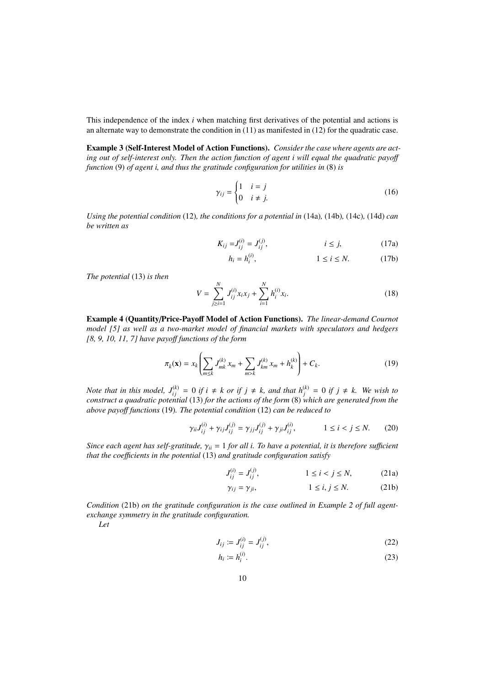This independence of the index *i* when matching first derivatives of the potential and actions is an alternate way to demonstrate the condition in  $(11)$  as manifested in  $(12)$  for the quadratic case.

Example 3 (Self-Interest Model of Action Functions). *Consider the case where agents are acting out of self-interest only. Then the action function of agent i will equal the quadratic payo*ff *function* (9) *of agent i, and thus the gratitude configuration for utilities in* (8) *is*

$$
\gamma_{ij} = \begin{cases} 1 & i = j \\ 0 & i \neq j. \end{cases} \tag{16}
$$

*Using the potential condition* (12)*, the conditions for a potential in* (14a)*,* (14b)*,* (14c)*,* (14d) *can be written as*

$$
K_{ij} = J_{ij}^{(i)} = J_{ij}^{(j)}, \qquad i \le j,
$$
 (17a)

$$
h_i = h_i^{(i)}, \qquad \qquad 1 \le i \le N. \tag{17b}
$$

*The potential* (13) *is then*

$$
V = \sum_{j \ge i=1}^{N} J_{ij}^{(i)} x_i x_j + \sum_{i=1}^{N} h_i^{(i)} x_i.
$$
 (18)

Example 4 (Quantity/Price-Payoff Model of Action Functions). *The linear-demand Cournot model [5] as well as a two-market model of financial markets with speculators and hedgers [8, 9, 10, 11, 7] have payo*ff *functions of the form*

$$
\pi_k(\mathbf{x}) = x_k \left( \sum_{m \le k} J_{mk}^{(k)} x_m + \sum_{m > k} J_{km}^{(k)} x_m + h_k^{(k)} \right) + C_k.
$$
 (19)

*Note that in this model,*  $J_{ij}^{(k)} = 0$  *if*  $i \neq k$  *or if*  $j \neq k$ *, and that*  $h_j^{(k)} = 0$  *if*  $j \neq k$ *. We wish to construct a quadratic potential* (13) *for the actions of the form* (8) *which are generated from the above payo*ff *functions* (19)*. The potential condition* (12) *can be reduced to*

$$
\gamma_{ii} J_{ij}^{(i)} + \gamma_{ij} J_{ij}^{(j)} = \gamma_{jj} J_{ij}^{(j)} + \gamma_{ji} J_{ij}^{(i)}, \qquad 1 \le i < j \le N. \tag{20}
$$

*Since each agent has self-gratitude,* <sup>γ</sup>*ii* <sup>=</sup> <sup>1</sup> *for all i. To have a potential, it is therefore su*ffi*cient that the coe*ffi*cients in the potential* (13) *and gratitude configuration satisfy*

$$
J_{ij}^{(i)} = J_{ij}^{(j)}, \qquad \qquad 1 \le i < j \le N,\tag{21a}
$$

$$
\gamma_{ij} = \gamma_{ji}, \qquad \qquad 1 \le i, j \le N. \tag{21b}
$$

*Condition* (21b) *on the gratitude configuration is the case outlined in Example 2 of full agentexchange symmetry in the gratitude configuration.*

*Let*

$$
J_{ij} := J_{ij}^{(i)} = J_{ij}^{(j)},
$$
\n(22)

$$
h_i := h_i^{(i)}.\tag{23}
$$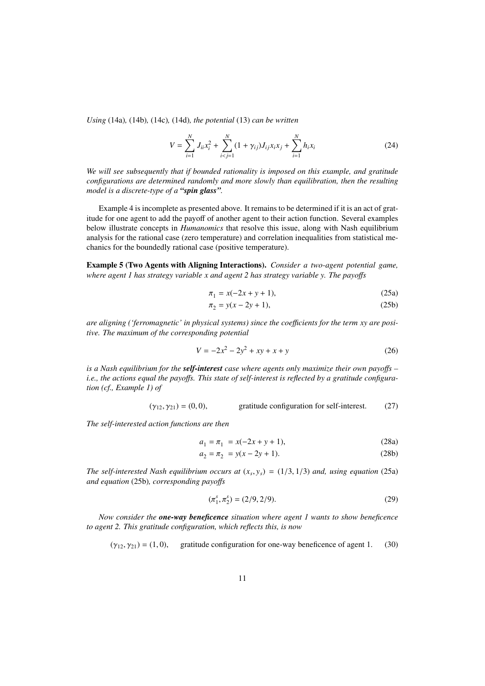*Using* (14a)*,* (14b)*,* (14c)*,* (14d)*, the potential* (13) *can be written*

$$
V = \sum_{i=1}^{N} J_{ii} x_i^2 + \sum_{i < j=1}^{N} (1 + \gamma_{ij}) J_{ij} x_i x_j + \sum_{i=1}^{N} h_i x_i \tag{24}
$$

*We will see subsequently that if bounded rationality is imposed on this example, and gratitude configurations are determined randomly and more slowly than equilibration, then the resulting model is a discrete-type of a "spin glass".*

Example 4 is incomplete as presented above. It remains to be determined if it is an act of gratitude for one agent to add the payoff of another agent to their action function. Several examples below illustrate concepts in *Humanomics* that resolve this issue, along with Nash equilibrium analysis for the rational case (zero temperature) and correlation inequalities from statistical mechanics for the boundedly rational case (positive temperature).

Example 5 (Two Agents with Aligning Interactions). *Consider a two-agent potential game, where agent 1 has strategy variable x and agent 2 has strategy variable y. The payo*ff*s*

$$
\pi_1 = x(-2x + y + 1),\tag{25a}
$$

$$
\pi_2 = y(x - 2y + 1),\tag{25b}
$$

*are aligning ('ferromagnetic' in physical systems) since the coe*ffi*cients for the term xy are positive. The maximum of the corresponding potential*

$$
V = -2x^2 - 2y^2 + xy + x + y \tag{26}
$$

*is a Nash equilibrium for the self-interest case where agents only maximize their own payo*ff*s – i.e., the actions equal the payo*ff*s. This state of self-interest is reflected by a gratitude configuration (cf., Example 1) of*

$$
(\gamma_{12}, \gamma_{21}) = (0, 0),
$$
 *gratitude configuration for self-interest.* (27)

*The self-interested action functions are then*

$$
a_1 = \pi_1 = x(-2x + y + 1), \tag{28a}
$$

$$
a_2 = \pi_2 = y(x - 2y + 1). \tag{28b}
$$

*The self-interested Nash equilibrium occurs at*  $(x_s, y_s) = (1/3, 1/3)$  *and, using equation* (25a) *and equation* (25b) *corresponding payoffs and equation* (25b)*, corresponding payo*ff*s*

$$
(\pi_1^s, \pi_2^s) = (2/9, 2/9). \tag{29}
$$

*Now consider the one-way beneficence situation where agent 1 wants to show beneficence to agent 2. This gratitude configuration, which reflects this, is now*

$$
(\gamma_{12}, \gamma_{21}) = (1, 0)
$$
, gratitude configuration for one-way beneficence of agent 1. (30)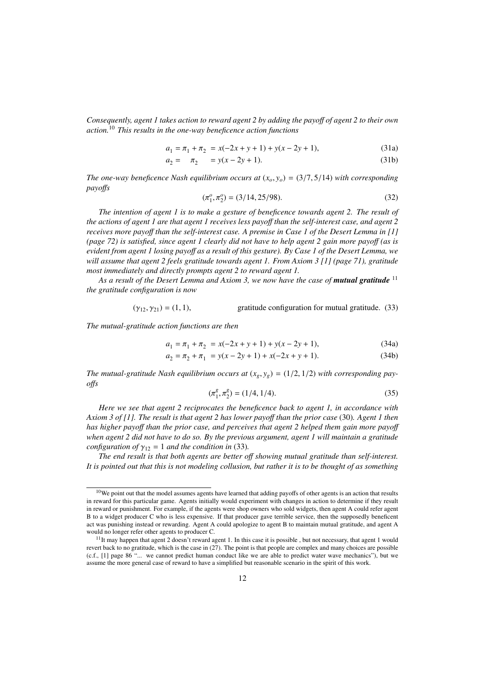*Consequently, agent 1 takes action to reward agent 2 by adding the payo*ff *of agent 2 to their own action.*<sup>10</sup> *This results in the one-way beneficence action functions*

$$
a_1 = \pi_1 + \pi_2 = x(-2x + y + 1) + y(x - 2y + 1),
$$
\n(31a)

$$
a_2 = \pi_2 = y(x - 2y + 1). \tag{31b}
$$

*The one-way beneficence Nash equilibrium occurs at*  $(x_o, y_o) = (3/7, 5/14)$  *with corresponding payo*ff*s*

$$
(\pi_1^o, \pi_2^o) = (3/14, 25/98). \tag{32}
$$

*The intention of agent 1 is to make a gesture of beneficence towards agent 2. The result of the actions of agent 1 are that agent 1 receives less payo*ff *than the self-interest case, and agent 2 receives more payo*ff *than the self-interest case. A premise in Case 1 of the Desert Lemma in [1] (page 72) is satisfied, since agent 1 clearly did not have to help agent 2 gain more payo*ff *(as is evident from agent 1 losing payo*ff *as a result of this gesture). By Case 1 of the Desert Lemma, we will assume that agent 2 feels gratitude towards agent 1. From Axiom 3 [1] (page 71), gratitude most immediately and directly prompts agent 2 to reward agent 1.*

*As a result of the Desert Lemma and Axiom 3, we now have the case of mutual gratitude* <sup>11</sup> *the gratitude configuration is now*

$$
(\gamma_{12}, \gamma_{21}) = (1, 1),
$$
 *gratitude configuration for mutual gratitude.* (33)

*The mutual-gratitude action functions are then*

$$
a_1 = \pi_1 + \pi_2 = x(-2x + y + 1) + y(x - 2y + 1),\tag{34a}
$$

$$
a_2 = \pi_2 + \pi_1 = y(x - 2y + 1) + x(-2x + y + 1). \tag{34b}
$$

*The mutual-gratitude Nash equilibrium occurs at*  $(x_g, y_g) = (1/2, 1/2)$  *with corresponding payo*ff*s*

$$
(\pi_1^g, \pi_2^g) = (1/4, 1/4). \tag{35}
$$

*Here we see that agent 2 reciprocates the beneficence back to agent 1, in accordance with Axiom 3 of [1]. The result is that agent 2 has lower payo*ff *than the prior case* (30)*. Agent 1 then has higher payo*ff *than the prior case, and perceives that agent 2 helped them gain more payo*ff *when agent 2 did not have to do so. By the previous argument, agent 1 will maintain a gratitude configuration of*  $\gamma_{12} = 1$  *and the condition in* (33).

*The end result is that both agents are better o*ff *showing mutual gratitude than self-interest. It is pointed out that this is not modeling collusion, but rather it is to be thought of as something*

<sup>&</sup>lt;sup>10</sup>We point out that the model assumes agents have learned that adding payoffs of other agents is an action that results in reward for this particular game. Agents initially would experiment with changes in action to determine if they result in reward or punishment. For example, if the agents were shop owners who sold widgets, then agent A could refer agent B to a widget producer C who is less expensive. If that producer gave terrible service, then the supposedly beneficent act was punishing instead or rewarding. Agent A could apologize to agent B to maintain mutual gratitude, and agent A would no longer refer other agents to producer C.

 $11$ It may happen that agent 2 doesn't reward agent 1. In this case it is possible, but not necessary, that agent 1 would revert back to no gratitude, which is the case in (27). The point is that people are complex and many choices are possible (c.f., [1] page 86 "... we cannot predict human conduct like we are able to predict water wave mechanics"), but we assume the more general case of reward to have a simplified but reasonable scenario in the spirit of this work.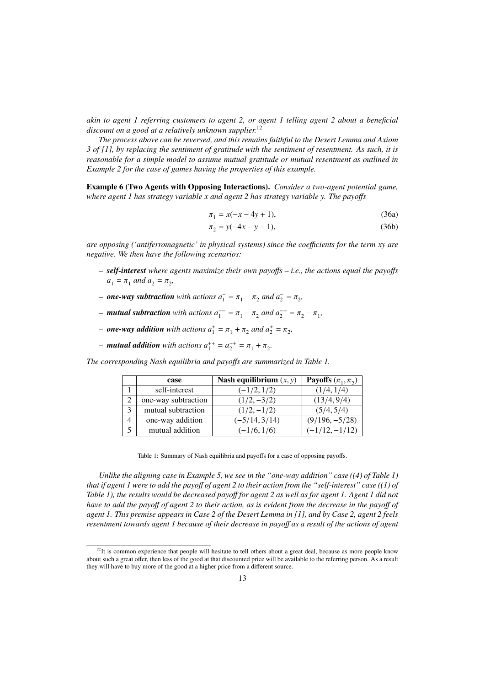*akin to agent 1 referring customers to agent 2, or agent 1 telling agent 2 about a beneficial discount on a good at a relatively unknown supplier.*<sup>12</sup>

*The process above can be reversed, and this remains faithful to the Desert Lemma and Axiom 3 of [1], by replacing the sentiment of gratitude with the sentiment of resentment. As such, it is reasonable for a simple model to assume mutual gratitude or mutual resentment as outlined in Example 2 for the case of games having the properties of this example.*

Example 6 (Two Agents with Opposing Interactions). *Consider a two-agent potential game, where agent 1 has strategy variable x and agent 2 has strategy variable y. The payo*ff*s*

$$
\pi_1 = x(-x - 4y + 1),\tag{36a}
$$

$$
\pi_2 = y(-4x - y - 1),\tag{36b}
$$

*are opposing ('antiferromagnetic' in physical systems) since the coe*ffi*cients for the term xy are negative. We then have the following scenarios:*

- *– self-interest where agents maximize their own payo*ff*s i.e., the actions equal the payo*ff*s*  $a_1 = \pi_1$  *and*  $a_2 = \pi_2$ ,
- *– one-way subtraction* with actions  $a_1^- = \pi_1 \pi_2$  and  $a_2^- = \pi_2$ ,
- $-$  *mutual subtraction* with actions  $a_1^- = \pi_1 \pi_2$  and  $a_2^- = \pi_2 \pi_1$ ,
- *– one-way addition* with actions  $a_1^+ = \pi_1 + \pi_2$  and  $a_2^+ = \pi_2$ ,
- *– mutual addition* with actions  $a_1^{++} = a_2^{++} = \pi_1 + \pi_2$ .

*The corresponding Nash equilibria and payo*ff*s are summarized in Table 1.*

|                | case                | <b>Nash equilibrium</b> $(x, y)$ | Payoffs $(\pi_1, \pi_2)$ |
|----------------|---------------------|----------------------------------|--------------------------|
|                | self-interest       | $(-1/2, 1/2)$                    | (1/4, 1/4)               |
| $\overline{c}$ | one-way subtraction | $(1/2, -3/2)$                    | (13/4, 9/4)              |
| 3              | mutual subtraction  | $(1/2, -1/2)$                    | (5/4, 5/4)               |
| 4              | one-way addition    | $(-5/14, 3/14)$                  | $(9/196, -5/28)$         |
|                | mutual addition     | $(-1/6, 1/6)$                    | $(-1/12,-1/12)$          |
|                |                     |                                  |                          |

Table 1: Summary of Nash equilibria and payoffs for a case of opposing payoffs.

*Unlike the aligning case in Example 5, we see in the "one-way addition" case ((4) of Table 1) that if agent 1 were to add the payo*ff *of agent 2 to their action from the "self-interest" case ((1) of Table 1), the results would be decreased payo*ff *for agent 2 as well as for agent 1. Agent 1 did not have to add the payo*ff *of agent 2 to their action, as is evident from the decrease in the payo*ff *of agent 1. This premise appears in Case 2 of the Desert Lemma in [1], and by Case 2, agent 2 feels resentment towards agent 1 because of their decrease in payo*ff *as a result of the actions of agent*

 $12$ It is common experience that people will hesitate to tell others about a great deal, because as more people know about such a great offer, then less of the good at that discounted price will be available to the referring person. As a result they will have to buy more of the good at a higher price from a different source.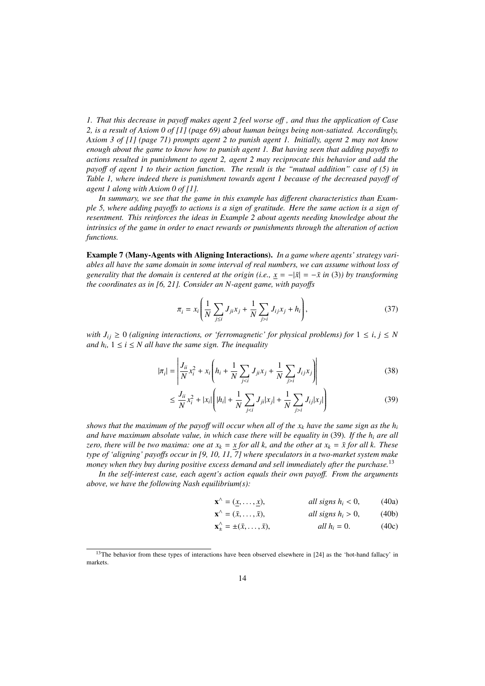*1. That this decrease in payo*ff *makes agent 2 feel worse o*ff *, and thus the application of Case 2, is a result of Axiom 0 of [1] (page 69) about human beings being non-satiated. Accordingly, Axiom 3 of [1] (page 71) prompts agent 2 to punish agent 1. Initially, agent 2 may not know enough about the game to know how to punish agent 1. But having seen that adding payo*ff*s to actions resulted in punishment to agent 2, agent 2 may reciprocate this behavior and add the payo*ff *of agent 1 to their action function. The result is the "mutual addition" case of (5) in Table 1, where indeed there is punishment towards agent 1 because of the decreased payo*ff *of agent 1 along with Axiom 0 of [1].*

In summary, we see that the game in this example has different characteristics than Exam*ple 5, where adding payo*ff*s to actions is a sign of gratitude. Here the same action is a sign of resentment. This reinforces the ideas in Example 2 about agents needing knowledge about the intrinsics of the game in order to enact rewards or punishments through the alteration of action functions.*

Example 7 (Many-Agents with Aligning Interactions). *In a game where agents' strategy variables all have the same domain in some interval of real numbers, we can assume without loss of generality that the domain is centered at the origin (i.e.,*  $x = -|\bar{x}| = -\bar{x}$  *in (3)) by transforming the coordinates as in [6, 21]. Consider an N-agent game, with payo*ff*s*

$$
\pi_{i} = x_{i} \left( \frac{1}{N} \sum_{j \leq i} J_{ji} x_{j} + \frac{1}{N} \sum_{j > i} J_{ij} x_{j} + h_{i} \right),
$$
\n(37)

*with*  $J_{ij} \geq 0$  (aligning interactions, or 'ferromagnetic' for physical problems) for  $1 \leq i, j \leq N$ *and*  $h_i$ ,  $1 \leq i \leq N$  *all have the same sign. The inequality* 

$$
|\pi_i| = \left| \frac{J_{ii}}{N} x_i^2 + x_i \left( h_i + \frac{1}{N} \sum_{j < i} J_{ji} x_j + \frac{1}{N} \sum_{j > i} J_{ij} x_j \right) \right| \tag{38}
$$

$$
\leq \frac{J_{ii}}{N}x_i^2 + |x_i| \left( |h_i| + \frac{1}{N} \sum_{j < i} J_{ji}|x_j| + \frac{1}{N} \sum_{j > i} J_{ij}|x_j| \right) \tag{39}
$$

*shows that the maximum of the payoff will occur when all of the*  $x_k$  *have the same sign as the*  $h_i$ *and have maximum absolute value, in which case there will be equality in* (39)*. If the h<sup>i</sup> are all zero, there will be two maxima: one at*  $x_k = x$  *for all k, and the other at*  $x_k = \bar{x}$  *for all k. These type of 'aligning' payo*ff*s occur in [9, 10, 11, 7] where speculators in a two-market system make money when they buy during positive excess demand and sell immediately after the purchase.*<sup>13</sup>

*In the self-interest case, each agent's action equals their own payo*ff*. From the arguments above, we have the following Nash equilibrium(s):*

$$
\mathbf{x}^{\wedge} = (\underline{x}, \dots, \underline{x}), \qquad \qquad \text{all signs } h_i < 0, \qquad (40a)
$$

$$
\mathbf{x}^{\wedge} = (\bar{x}, \dots, \bar{x}), \qquad \text{all signs } h_i > 0, \qquad (40b)
$$

$$
\mathbf{x}_{\pm}^{\wedge} = \pm(\bar{x}, \dots, \bar{x}), \qquad \qquad all \; h_i = 0. \tag{40c}
$$

<sup>&</sup>lt;sup>13</sup>The behavior from these types of interactions have been observed elsewhere in [24] as the 'hot-hand fallacy' in markets.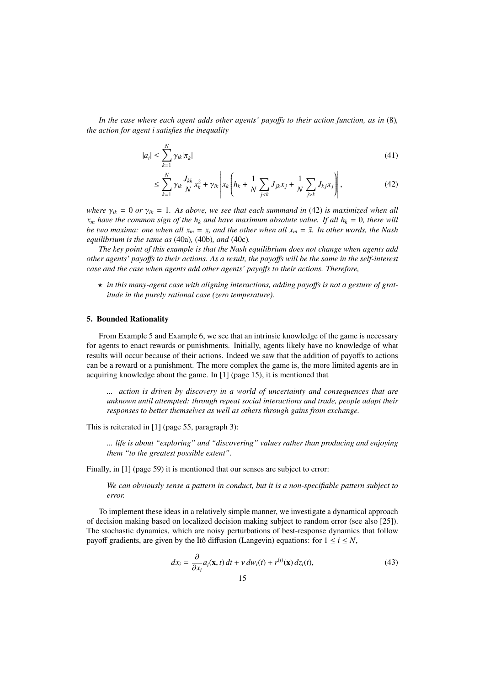*In the case where each agent adds other agents' payo*ff*s to their action function, as in* (8)*, the action for agent i satisfies the inequality*

$$
|a_i| \le \sum_{k=1}^N \gamma_{ik} |\pi_k| \tag{41}
$$

$$
\leq \sum_{k=1}^{N} \gamma_{ik} \frac{J_{kk}}{N} x_k^2 + \gamma_{ik} \left| x_k \left( h_k + \frac{1}{N} \sum_{j < k} J_{jk} x_j + \frac{1}{N} \sum_{j > k} J_{kj} x_j \right) \right|, \tag{42}
$$

*where*  $\gamma_{ik} = 0$  *or*  $\gamma_{ik} = 1$ *. As above, we see that each summand in* (42) *is maximized when all*  $x_m$  *have the common sign of the*  $h_k$  *and have maximum absolute value. If all*  $h_k = 0$ *, there will be two maxima: one when all*  $x_m = x$ *, and the other when all*  $x_m = \bar{x}$ *. In other words, the Nash equilibrium is the same as* (40a)*,* (40b)*, and* (40c)*.*

*The key point of this example is that the Nash equilibrium does not change when agents add other agents' payo*ff*s to their actions. As a result, the payo*ff*s will be the same in the self-interest case and the case when agents add other agents' payo*ff*s to their actions. Therefore,*

? *in this many-agent case with aligning interactions, adding payo*ff*s is not a gesture of gratitude in the purely rational case (zero temperature).*

## 5. Bounded Rationality

From Example 5 and Example 6, we see that an intrinsic knowledge of the game is necessary for agents to enact rewards or punishments. Initially, agents likely have no knowledge of what results will occur because of their actions. Indeed we saw that the addition of payoffs to actions can be a reward or a punishment. The more complex the game is, the more limited agents are in acquiring knowledge about the game. In [1] (page 15), it is mentioned that

*... action is driven by discovery in a world of uncertainty and consequences that are unknown until attempted: through repeat social interactions and trade, people adapt their responses to better themselves as well as others through gains from exchange.*

This is reiterated in [1] (page 55, paragraph 3):

*... life is about "exploring" and "discovering" values rather than producing and enjoying them "to the greatest possible extent".*

Finally, in [1] (page 59) it is mentioned that our senses are subject to error:

*We can obviously sense a pattern in conduct, but it is a non-specifiable pattern subject to error.*

To implement these ideas in a relatively simple manner, we investigate a dynamical approach of decision making based on localized decision making subject to random error (see also [25]). The stochastic dynamics, which are noisy perturbations of best-response dynamics that follow payoff gradients, are given by the Itô diffusion (Langevin) equations: for  $1 \le i \le N$ ,

$$
dx_i = \frac{\partial}{\partial x_i} a_i(\mathbf{x}, t) dt + v dw_i(t) + r^{(i)}(\mathbf{x}) dz_i(t),
$$
\n(43)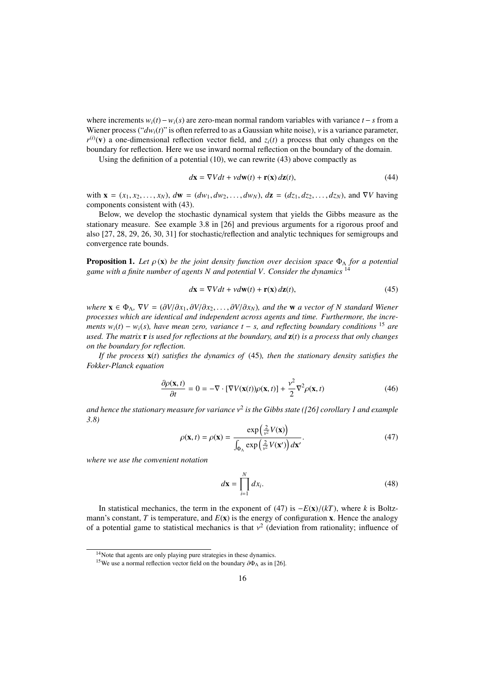where increments *wi*(*t*)−*wi*(*s*) are zero-mean normal random variables with variance *t*− *s* from a Wiener process (" $dw_i(t)$ " is often referred to as a Gaussian white noise),  $\nu$  is a variance parameter,  $r^{(i)}(v)$  a one-dimensional reflection vector field, and  $z_i(t)$  a process that only changes on the boundary for reflection. Here we use inward normal reflection on the boundary of the domain.

Using the definition of a potential (10), we can rewrite (43) above compactly as

$$
d\mathbf{x} = \nabla V dt + v d\mathbf{w}(t) + \mathbf{r}(\mathbf{x}) d\mathbf{z}(t),
$$
\n(44)

with  $\mathbf{x} = (x_1, x_2, \dots, x_N)$ ,  $d\mathbf{w} = (dw_1, dw_2, \dots, dw_N)$ ,  $d\mathbf{z} = (dz_1, dz_2, \dots, dz_N)$ , and  $\nabla V$  having components consistent with (43).

Below, we develop the stochastic dynamical system that yields the Gibbs measure as the stationary measure. See example 3.8 in [26] and previous arguments for a rigorous proof and also [27, 28, 29, 26, 30, 31] for stochastic/reflection and analytic techniques for semigroups and convergence rate bounds.

**Proposition 1.** Let  $\rho$  (**x**) *be the joint density function over decision space*  $\Phi_{\Lambda}$  *for a potential game with a finite number of agents N and potential V. Consider the dynamics* <sup>14</sup>

$$
d\mathbf{x} = \nabla V dt + v d\mathbf{w}(t) + \mathbf{r}(\mathbf{x}) d\mathbf{z}(t),
$$
\n(45)

*where*  $\mathbf{x}$  ∈  $\Phi_{\Lambda}$ ,  $\nabla V = (\partial V/\partial x_1, \partial V/\partial x_2, \dots, \partial V/\partial x_N)$ , and the **w** *a* vector of *N* standard Wiener *processes which are identical and independent across agents and time. Furthermore, the increments*  $w_i(t) - w_i(s)$ *, have mean zero, variance*  $t - s$ *, and reflecting boundary conditions* <sup>15</sup> *are used. The matrix* r *is used for reflections at the boundary, and* z(*t*) *is a process that only changes on the boundary for reflection.*

*If the process* x(*t*) *satisfies the dynamics of* (45)*, then the stationary density satisfies the Fokker-Planck equation*

$$
\frac{\partial \rho(\mathbf{x},t)}{\partial t} = 0 = -\nabla \cdot [\nabla V(\mathbf{x}(t))\rho(\mathbf{x},t)] + \frac{v^2}{2}\nabla^2 \rho(\mathbf{x},t)
$$
(46)

and hence the stationary measure for variance ν<sup>2</sup> is the Gibbs state ([26] corollary 1 and example<br>3 &\ *3.8)*

$$
\rho(\mathbf{x},t) = \rho(\mathbf{x}) = \frac{\exp\left(\frac{2}{v^2}V(\mathbf{x})\right)}{\int_{\Phi_{\Lambda}} \exp\left(\frac{2}{v^2}V(\mathbf{x}')\right) d\mathbf{x}'}.
$$
(47)

*where we use the convenient notation*

$$
d\mathbf{x} = \prod_{i=1}^{N} dx_i.
$$
 (48)

In statistical mechanics, the term in the exponent of (47) is  $-E(x)/(kT)$ , where *k* is Boltzmann's constant,  $T$  is temperature, and  $E(x)$  is the energy of configuration  $x$ . Hence the analogy of a potential game to statistical mechanics is that  $v^2$  (deviation from rationality; influence of

<sup>&</sup>lt;sup>14</sup>Note that agents are only playing pure strategies in these dynamics.

<sup>&</sup>lt;sup>15</sup>We use a normal reflection vector field on the boundary  $\partial \Phi_{\Lambda}$  as in [26].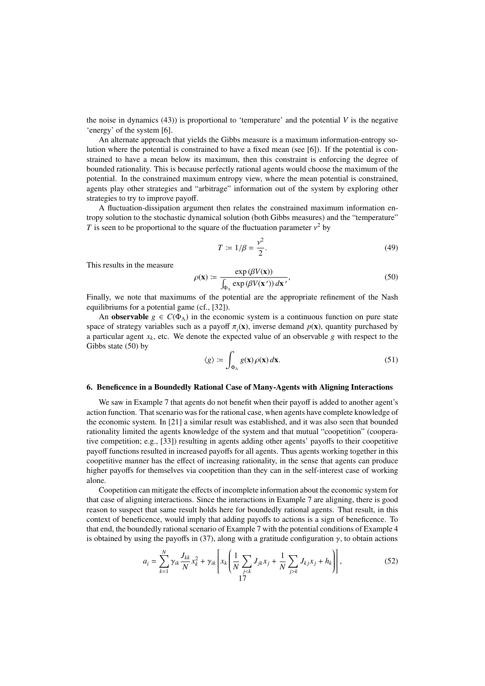the noise in dynamics  $(43)$ ) is proportional to 'temperature' and the potential *V* is the negative 'energy' of the system [6].

An alternate approach that yields the Gibbs measure is a maximum information-entropy solution where the potential is constrained to have a fixed mean (see [6]). If the potential is constrained to have a mean below its maximum, then this constraint is enforcing the degree of bounded rationality. This is because perfectly rational agents would choose the maximum of the potential. In the constrained maximum entropy view, where the mean potential is constrained, agents play other strategies and "arbitrage" information out of the system by exploring other strategies to try to improve payoff.

A fluctuation-dissipation argument then relates the constrained maximum information entropy solution to the stochastic dynamical solution (both Gibbs measures) and the "temperature" *T* is seen to be proportional to the square of the fluctuation parameter  $v^2$  by

$$
T := 1/\beta = \frac{v^2}{2}.
$$
 (49)

This results in the measure

$$
\rho(\mathbf{x}) \coloneqq \frac{\exp(\beta V(\mathbf{x}))}{\int_{\Phi_{\Lambda}} \exp(\beta V(\mathbf{x}')) d\mathbf{x}'},\tag{50}
$$

Finally, we note that maximums of the potential are the appropriate refinement of the Nash equilibriums for a potential game (cf., [32]).

An **observable**  $g \in C(\Phi_\Lambda)$  in the economic system is a continuous function on pure state space of strategy variables such as a payoff  $\pi_i(\mathbf{x})$ , inverse demand  $p(\mathbf{x})$ , quantity purchased by<br>a particular agent *x*<sub>1</sub>, etc. We denote the expected value of an observable q with respect to the a particular agent  $x_k$ , etc. We denote the expected value of an observable g with respect to the Gibbs state (50) by

$$
\langle g \rangle \coloneqq \int_{\Phi_{\Lambda}} g(\mathbf{x}) \rho(\mathbf{x}) \, d\mathbf{x}.\tag{51}
$$

### 6. Beneficence in a Boundedly Rational Case of Many-Agents with Aligning Interactions

We saw in Example 7 that agents do not benefit when their payoff is added to another agent's action function. That scenario was for the rational case, when agents have complete knowledge of the economic system. In [21] a similar result was established, and it was also seen that bounded rationality limited the agents knowledge of the system and that mutual "coopetition" (cooperative competition; e.g., [33]) resulting in agents adding other agents' payoffs to their coopetitive payoff functions resulted in increased payoffs for all agents. Thus agents working together in this coopetitive manner has the effect of increasing rationality, in the sense that agents can produce higher payoffs for themselves via coopetition than they can in the self-interest case of working alone.

Coopetition can mitigate the effects of incomplete information about the economic system for that case of aligning interactions. Since the interactions in Example 7 are aligning, there is good reason to suspect that same result holds here for boundedly rational agents. That result, in this context of beneficence, would imply that adding payoffs to actions is a sign of beneficence. To that end, the boundedly rational scenario of Example 7 with the potential conditions of Example 4 is obtained by using the payoffs in (37), along with a gratitude configuration  $\gamma$ , to obtain actions

$$
a_{i} = \sum_{k=1}^{N} \gamma_{ik} \frac{J_{kk}}{N} x_{k}^{2} + \gamma_{ik} \left[ x_{k} \left( \frac{1}{N} \sum_{\substack{j < k \\ 1 \text{ } \text{ } j}} J_{jk} x_{j} + \frac{1}{N} \sum_{\substack{j > k \\ j > k}} J_{kj} x_{j} + h_{k} \right) \right], \tag{52}
$$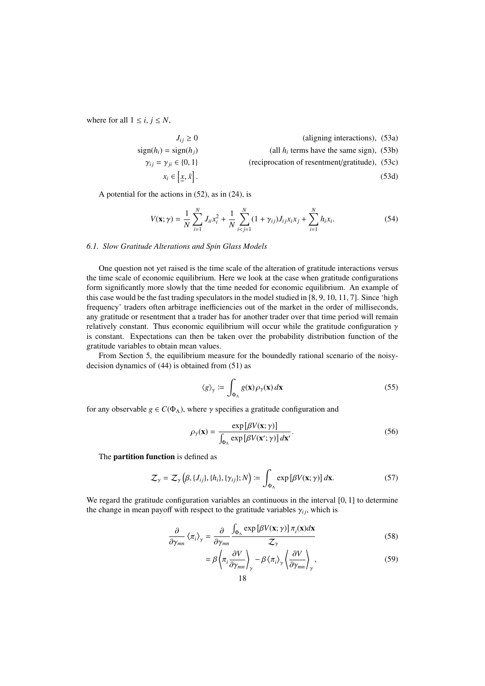where for all  $1 \le i, j \le N$ ,

$$
J_{ij} \ge 0
$$
 (aligning interactions), (53a)  
sign(*h<sub>i</sub>*) = sign(*h<sub>j</sub>*) (all *h<sub>i</sub>* terms have the same sign), (53b)  

$$
\gamma_{ij} = \gamma_{ji} \in \{0, 1\}
$$
 (reciprocation of *resentment/gratitude*), (53c)  

$$
x_i \in \left[\underline{x}, \overline{x}\right].
$$
 (53d)

A potential for the actions in (52), as in (24), is

$$
V(\mathbf{x}; \gamma) = \frac{1}{N} \sum_{i=1}^{N} J_{ii} x_i^2 + \frac{1}{N} \sum_{i < j=1}^{N} (1 + \gamma_{ij}) J_{ij} x_i x_j + \sum_{i=1}^{N} h_i x_i. \tag{54}
$$

#### *6.1. Slow Gratitude Alterations and Spin Glass Models*

One question not yet raised is the time scale of the alteration of gratitude interactions versus the time scale of economic equilibrium. Here we look at the case when gratitude configurations form significantly more slowly that the time needed for economic equilibrium. An example of this case would be the fast trading speculators in the model studied in [8, 9, 10, 11, 7]. Since 'high frequency' traders often arbitrage inefficiencies out of the market in the order of milliseconds, any gratitude or resentment that a trader has for another trader over that time period will remain relatively constant. Thus economic equilibrium will occur while the gratitude configuration  $\gamma$ is constant. Expectations can then be taken over the probability distribution function of the gratitude variables to obtain mean values.

From Section 5, the equilibrium measure for the boundedly rational scenario of the noisydecision dynamics of (44) is obtained from (51) as

$$
\langle g \rangle_{\gamma} := \int_{\Phi_{\Lambda}} g(\mathbf{x}) \rho_{\gamma}(\mathbf{x}) d\mathbf{x} \tag{55}
$$

for any observable  $g \in C(\Phi_{\Lambda})$ , where  $\gamma$  specifies a gratitude configuration and

$$
\rho_{\gamma}(\mathbf{x}) = \frac{\exp\left[\beta V(\mathbf{x};\gamma)\right]}{\int_{\Phi_{\Lambda}} \exp\left[\beta V(\mathbf{x}';\gamma)\right] d\mathbf{x}'}.
$$
\n(56)

The partition function is defined as

$$
\mathcal{Z}_{\gamma} = \mathcal{Z}_{\gamma}\left(\beta, \{J_{ij}\}, \{h_i\}, \{\gamma_{ij}\}; N\right) := \int_{\Phi_{\Lambda}} \exp\left[\beta V(\mathbf{x}; \gamma)\right] d\mathbf{x}.\tag{57}
$$

We regard the gratitude configuration variables an continuous in the interval [0, 1] to determine the change in mean payoff with respect to the gratitude variables  $\gamma_{ij}$ , which is

$$
\frac{\partial}{\partial \gamma_{mn}} \left\langle \pi_i \right\rangle_{\gamma} = \frac{\partial}{\partial \gamma_{mn}} \frac{\int_{\Phi_{\Lambda}} \exp \left[ \beta V(\mathbf{x}; \gamma) \right] \pi_i(\mathbf{x}) d\mathbf{x}}{Z_{\gamma}}
$$
(58)

$$
\mathcal{L}_{\gamma} \left\langle \frac{\partial V}{\partial \gamma_{mn}} \right\rangle_{\gamma} - \beta \left\langle \pi_{i} \right\rangle_{\gamma} \left\langle \frac{\partial V}{\partial \gamma_{mn}} \right\rangle_{\gamma}, \tag{59}
$$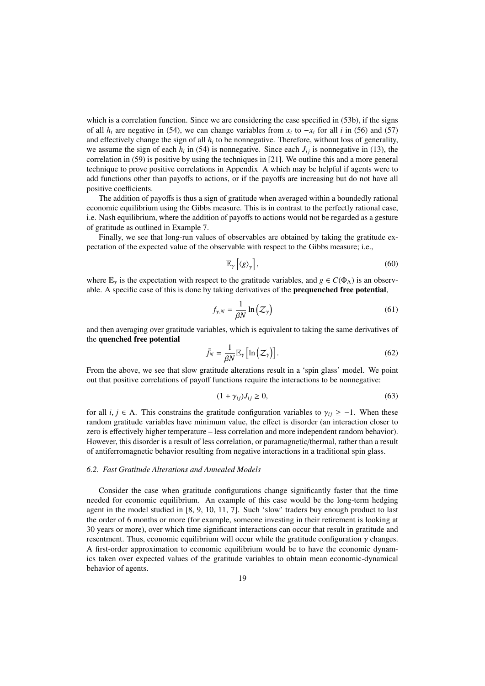which is a correlation function. Since we are considering the case specified in (53b), if the signs of all  $h_i$  are negative in (54), we can change variables from  $x_i$  to  $-x_i$  for all *i* in (56) and (57) and effectively change the sign of all *h<sup>i</sup>* to be nonnegative. Therefore, without loss of generality, we assume the sign of each  $h_i$  in (54) is nonnegative. Since each  $J_{ij}$  is nonnegative in (13), the correlation in (59) is positive by using the techniques in [21]. We outline this and a more general technique to prove positive correlations in Appendix A which may be helpful if agents were to add functions other than payoffs to actions, or if the payoffs are increasing but do not have all positive coefficients.

The addition of payoffs is thus a sign of gratitude when averaged within a boundedly rational economic equilibrium using the Gibbs measure. This is in contrast to the perfectly rational case, i.e. Nash equilibrium, where the addition of payoffs to actions would not be regarded as a gesture of gratitude as outlined in Example 7.

Finally, we see that long-run values of observables are obtained by taking the gratitude expectation of the expected value of the observable with respect to the Gibbs measure; i.e.,

$$
\mathbb{E}_{\gamma}\left[\langle g \rangle_{\gamma}\right],\tag{60}
$$

where  $\mathbb{E}_{\gamma}$  is the expectation with respect to the gratitude variables, and *g*  $\in C(\Phi_{\Lambda})$  is an observable. A specific case of this is done by taking derivatives of the prequenched free potential,

$$
f_{\gamma,N} = \frac{1}{\beta N} \ln \left( \mathcal{Z}_{\gamma} \right) \tag{61}
$$

and then averaging over gratitude variables, which is equivalent to taking the same derivatives of the quenched free potential

$$
\bar{f}_N = \frac{1}{\beta N} \mathbb{E}_\gamma \left[ \ln \left( \mathcal{Z}_\gamma \right) \right]. \tag{62}
$$

From the above, we see that slow gratitude alterations result in a 'spin glass' model. We point out that positive correlations of payoff functions require the interactions to be nonnegative:

$$
(1 + \gamma_{ij})J_{ij} \ge 0,\tag{63}
$$

for all *i*, *j* ∈  $\Lambda$ . This constrains the gratitude configuration variables to  $\gamma_{ij} \ge -1$ . When these random gratitude variables have minimum value, the effect is disorder (an interaction closer to zero is effectively higher temperature – less correlation and more independent random behavior). However, this disorder is a result of less correlation, or paramagnetic/thermal, rather than a result of antiferromagnetic behavior resulting from negative interactions in a traditional spin glass.

## *6.2. Fast Gratitude Alterations and Annealed Models*

Consider the case when gratitude configurations change significantly faster that the time needed for economic equilibrium. An example of this case would be the long-term hedging agent in the model studied in [8, 9, 10, 11, 7]. Such 'slow' traders buy enough product to last the order of 6 months or more (for example, someone investing in their retirement is looking at 30 years or more), over which time significant interactions can occur that result in gratitude and resentment. Thus, economic equilibrium will occur while the gratitude configuration  $\gamma$  changes. A first-order approximation to economic equilibrium would be to have the economic dynamics taken over expected values of the gratitude variables to obtain mean economic-dynamical behavior of agents.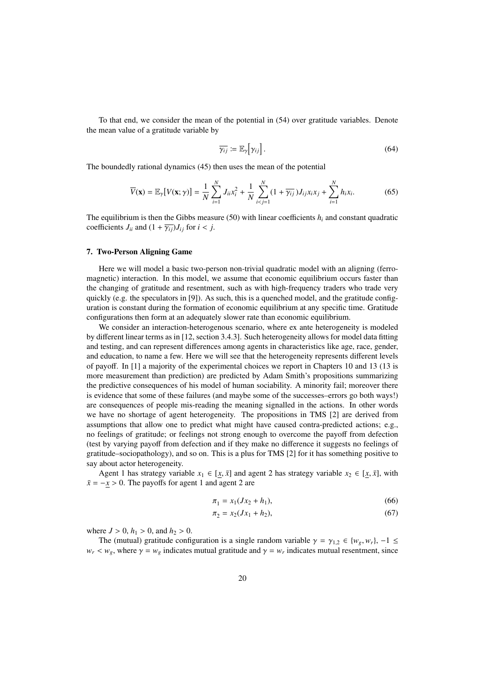To that end, we consider the mean of the potential in (54) over gratitude variables. Denote the mean value of a gratitude variable by

$$
\overline{\gamma_{ij}} := \mathbb{E}_{\gamma} \big[ \gamma_{ij} \big]. \tag{64}
$$

The boundedly rational dynamics (45) then uses the mean of the potential

$$
\overline{V}(\mathbf{x}) = \mathbb{E}_{\gamma}[V(\mathbf{x};\gamma)] = \frac{1}{N} \sum_{i=1}^{N} J_{ii} x_i^2 + \frac{1}{N} \sum_{i < j=1}^{N} (1 + \overline{\gamma_{ij}}) J_{ij} x_i x_j + \sum_{i=1}^{N} h_i x_i. \tag{65}
$$

The equilibrium is then the Gibbs measure (50) with linear coefficients  $h_i$  and constant quadratic coefficients  $J_{ii}$  and  $(1 + \overline{\gamma_{ii}})J_{ii}$  for  $i < j$ .

## 7. Two-Person Aligning Game

Here we will model a basic two-person non-trivial quadratic model with an aligning (ferromagnetic) interaction. In this model, we assume that economic equilibrium occurs faster than the changing of gratitude and resentment, such as with high-frequency traders who trade very quickly (e.g. the speculators in [9]). As such, this is a quenched model, and the gratitude configuration is constant during the formation of economic equilibrium at any specific time. Gratitude configurations then form at an adequately slower rate than economic equilibrium.

We consider an interaction-heterogenous scenario, where ex ante heterogeneity is modeled by different linear terms as in [12, section 3.4.3]. Such heterogeneity allows for model data fitting and testing, and can represent differences among agents in characteristics like age, race, gender, and education, to name a few. Here we will see that the heterogeneity represents different levels of payoff. In [1] a majority of the experimental choices we report in Chapters 10 and 13 (13 is more measurement than prediction) are predicted by Adam Smith's propositions summarizing the predictive consequences of his model of human sociability. A minority fail; moreover there is evidence that some of these failures (and maybe some of the successes–errors go both ways!) are consequences of people mis-reading the meaning signalled in the actions. In other words we have no shortage of agent heterogeneity. The propositions in TMS [2] are derived from assumptions that allow one to predict what might have caused contra-predicted actions; e.g., no feelings of gratitude; or feelings not strong enough to overcome the payoff from defection (test by varying payoff from defection and if they make no difference it suggests no feelings of gratitude–sociopathology), and so on. This is a plus for TMS [2] for it has something positive to say about actor heterogeneity.

Agent 1 has strategy variable  $x_1 \in [x, \bar{x}]$  and agent 2 has strategy variable  $x_2 \in [x, \bar{x}]$ , with  $\bar{x} = -\bar{x} > 0$ . The payoffs for agent 1 and agent 2 are

$$
\pi_1 = x_1 (Jx_2 + h_1),\tag{66}
$$

$$
\pi_2 = x_2(Jx_1 + h_2),\tag{67}
$$

where  $J > 0$ ,  $h_1 > 0$ , and  $h_2 > 0$ .

The (mutual) gratitude configuration is a single random variable  $\gamma = \gamma_{1,2} \in \{w_g, w_r\}$ , -1 ≤  $w_r < w_g$ , where  $\gamma = w_g$  indicates mutual gratitude and  $\gamma = w_r$  indicates mutual resentment, since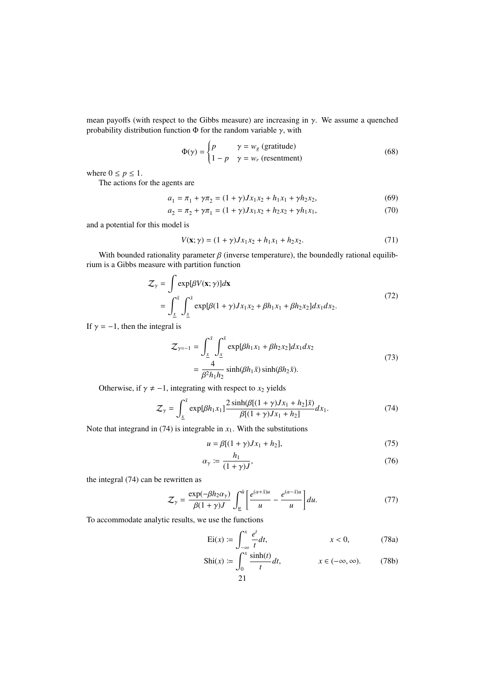mean payoffs (with respect to the Gibbs measure) are increasing in  $\gamma$ . We assume a quenched probability distribution function  $\Phi$  for the random variable  $\gamma$ , with

$$
\Phi(\gamma) = \begin{cases} p & \gamma = w_g \text{ (gratitude)} \\ 1 - p & \gamma = w_r \text{ (resentment)} \end{cases}
$$
 (68)

where  $0 \le p \le 1$ .

The actions for the agents are

$$
a_1 = \pi_1 + \gamma \pi_2 = (1 + \gamma)Jx_1x_2 + h_1x_1 + \gamma h_2x_2,
$$
\n(69)

$$
a_2 = \pi_2 + \gamma \pi_1 = (1 + \gamma)Jx_1x_2 + h_2x_2 + \gamma h_1x_1,
$$
\n(70)

and a potential for this model is

$$
V(\mathbf{x}; \gamma) = (1 + \gamma)Jx_1x_2 + h_1x_1 + h_2x_2. \tag{71}
$$

With bounded rationality parameter  $\beta$  (inverse temperature), the boundedly rational equilibrium is a Gibbs measure with partition function

$$
\mathcal{Z}_{\gamma} = \int \exp[\beta V(\mathbf{x}; \gamma)]d\mathbf{x}
$$
  
= 
$$
\int_{\underline{x}}^{\overline{x}} \int_{\underline{x}}^{\overline{x}} \exp[\beta(1+\gamma)Jx_1x_2 + \beta h_1x_1 + \beta h_2x_2]dx_1dx_2.
$$
 (72)

If  $\gamma = -1$ , then the integral is

$$
\mathcal{Z}_{\gamma=-1} = \int_{\underline{x}}^{\overline{x}} \int_{\underline{x}}^{\overline{x}} \exp[\beta h_1 x_1 + \beta h_2 x_2] dx_1 dx_2
$$
  
= 
$$
\frac{4}{\beta^2 h_1 h_2} \sinh(\beta h_1 \overline{x}) \sinh(\beta h_2 \overline{x}).
$$
 (73)

Otherwise, if  $\gamma \neq -1$ , integrating with respect to  $x_2$  yields

$$
\mathcal{Z}_{\gamma} = \int_{\underline{x}}^{\bar{x}} \exp[\beta h_1 x_1] \frac{2 \sinh(\beta[(1+\gamma)Jx_1 + h_2]\bar{x})}{\beta[(1+\gamma)Jx_1 + h_2]} dx_1.
$$
 (74)

Note that integrand in  $(74)$  is integrable in  $x_1$ . With the substitutions

$$
u = \beta[(1+\gamma)Jx_1 + h_2],
$$
\n(75)

$$
\alpha_{\gamma} := \frac{h_1}{(1+\gamma)J},\tag{76}
$$

the integral (74) can be rewritten as

$$
\mathcal{Z}_{\gamma} = \frac{\exp(-\beta h_2 \alpha_{\gamma})}{\beta (1 + \gamma) J} \int_{\underline{u}}^{\overline{u}} \left[ \frac{e^{(\alpha + \overline{x})u}}{u} - \frac{e^{(\alpha - \overline{x})u}}{u} \right] du.
$$
 (77)

To accommodate analytic results, we use the functions

$$
\text{Ei}(x) \coloneqq \int_{-\infty}^{x} \frac{e^t}{t} dt, \qquad x < 0,\tag{78a}
$$

Shi(x) := 
$$
\int_0^x \frac{\sinh(t)}{t} dt, \qquad x \in (-\infty, \infty).
$$
 (78b)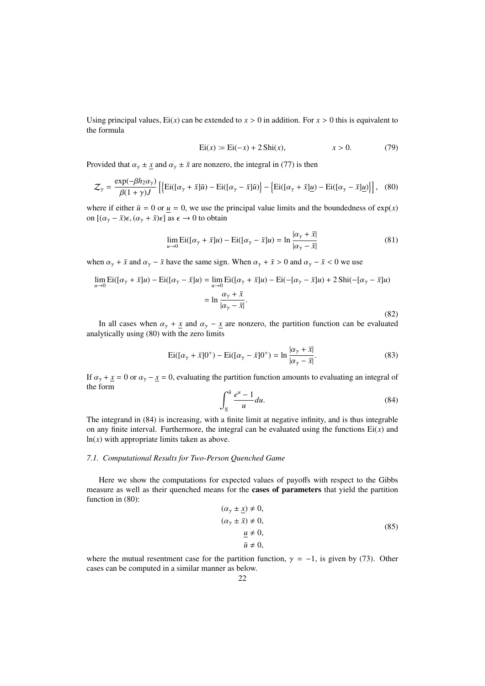Using principal values,  $Ei(x)$  can be extended to  $x > 0$  in addition. For  $x > 0$  this is equivalent to the formula

$$
Ei(x) := Ei(-x) + 2\operatorname{Shi}(x), \qquad x > 0. \tag{79}
$$

Provided that  $\alpha_{\gamma} \pm \underline{x}$  and  $\alpha_{\gamma} \pm \overline{x}$  are nonzero, the integral in (77) is then

$$
\mathcal{Z}_{\gamma} = \frac{\exp(-\beta h_2 \alpha_{\gamma})}{\beta(1+\gamma)J} \left[ \left\{ \mathrm{Ei}([\alpha_{\gamma} + \bar{x}]\bar{u}) - \mathrm{Ei}([\alpha_{\gamma} - \bar{x}]\bar{u}) \right\} - \left\{ \mathrm{Ei}([\alpha_{\gamma} + \bar{x}]\underline{u}) - \mathrm{Ei}([\alpha_{\gamma} - \bar{x}]\underline{u}) \right\} \right], \quad (80)
$$

where if either  $\bar{u} = 0$  or  $\underline{u} = 0$ , we use the principal value limits and the boundedness of  $\exp(x)$ on  $[(\alpha_{\gamma} - \bar{x})\epsilon, (\alpha_{\gamma} + \bar{x})\epsilon]$  as  $\epsilon \to 0$  to obtain

$$
\lim_{u \to 0} \text{Ei}([\alpha_{\gamma} + \bar{x}]u) - \text{Ei}([\alpha_{\gamma} - \bar{x}]u) = \ln \frac{|\alpha_{\gamma} + \bar{x}|}{|\alpha_{\gamma} - \bar{x}|}
$$
(81)

when  $\alpha_{\gamma}$  +  $\bar{x}$  and  $\alpha_{\gamma}$  –  $\bar{x}$  have the same sign. When  $\alpha_{\gamma}$  +  $\bar{x}$  > 0 and  $\alpha_{\gamma}$  –  $\bar{x}$  < 0 we use

$$
\lim_{u \to 0} \text{Ei}([\alpha_{\gamma} + \bar{x}]u) - \text{Ei}([\alpha_{\gamma} - \bar{x}]u) = \lim_{u \to 0} \text{Ei}([\alpha_{\gamma} + \bar{x}]u) - \text{Ei}(-[\alpha_{\gamma} - \bar{x}]u) + 2 \text{ Shi}(-[\alpha_{\gamma} - \bar{x}]u)
$$

$$
= \ln \frac{\alpha_{\gamma} + \bar{x}}{|\alpha_{\gamma} - \bar{x}|}. \tag{82}
$$

In all cases when  $\alpha_y + x$  and  $\alpha_y - x$  are nonzero, the partition function can be evaluated analytically using (80) with the zero limits

$$
Ei((\alpha_{\gamma} + \bar{x})0^{+}) - Ei((\alpha_{\gamma} - \bar{x})0^{+}) = \ln \frac{|\alpha_{\gamma} + \bar{x}|}{|\alpha_{\gamma} - \bar{x}|}.
$$
\n(83)

If  $\alpha_{\gamma} + \underline{x} = 0$  or  $\alpha_{\gamma} - \underline{x} = 0$ , evaluating the partition function amounts to evaluating an integral of the form

$$
\int_{\underline{u}}^{\overline{u}} \frac{e^u - 1}{u} du. \tag{84}
$$

The integrand in (84) is increasing, with a finite limit at negative infinity, and is thus integrable on any finite interval. Furthermore, the integral can be evaluated using the functions  $Ei(x)$  and  $ln(x)$  with appropriate limits taken as above.

## *7.1. Computational Results for Two-Person Quenched Game*

Here we show the computations for expected values of payoffs with respect to the Gibbs measure as well as their quenched means for the cases of parameters that yield the partition function in (80):

$$
(\alpha_{\gamma} \pm \underline{x}) \neq 0,
$$
  
\n
$$
(\alpha_{\gamma} \pm \bar{x}) \neq 0,
$$
  
\n
$$
\underline{u} \neq 0,
$$
  
\n
$$
\bar{u} \neq 0,
$$
\n(85)

where the mutual resentment case for the partition function,  $\gamma = -1$ , is given by (73). Other cases can be computed in a similar manner as below.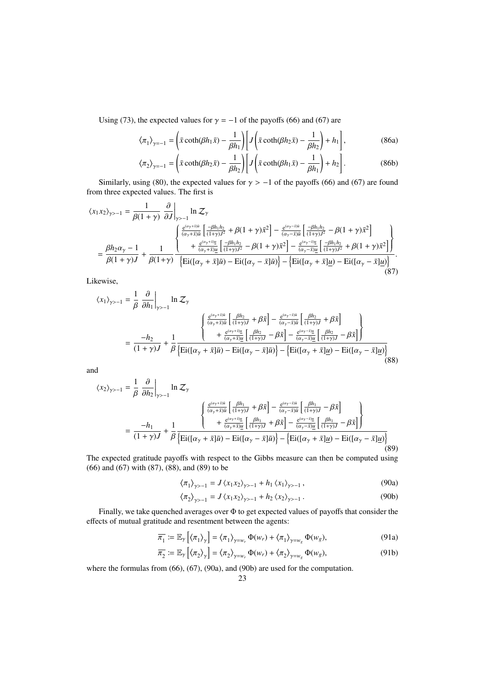Using (73), the expected values for  $\gamma = -1$  of the payoffs (66) and (67) are

$$
\langle \pi_1 \rangle_{\gamma=-1} = \left( \bar{x} \coth(\beta h_1 \bar{x}) - \frac{1}{\beta h_1} \right) \left[ J \left( \bar{x} \coth(\beta h_2 \bar{x}) - \frac{1}{\beta h_2} \right) + h_1 \right],\tag{86a}
$$

$$
\left\langle \pi_2 \right\rangle_{\gamma=-1} = \left( \bar{x} \coth(\beta h_2 \bar{x}) - \frac{1}{\beta h_2} \right) \left[ J \left( \bar{x} \coth(\beta h_1 \bar{x}) - \frac{1}{\beta h_1} \right) + h_2 \right]. \tag{86b}
$$

Similarly, using (80), the expected values for  $\gamma > -1$  of the payoffs (66) and (67) are found<br>in three expected values. The first is from three expected values. The first is

$$
\langle x_1 x_2 \rangle_{\gamma > -1} = \frac{1}{\beta(1+\gamma)} \left. \frac{\partial}{\partial J} \right|_{\gamma > -1} \ln \mathcal{Z}_{\gamma}
$$
\n
$$
= \frac{\beta h_2 \alpha_{\gamma} - 1}{\beta(1+\gamma)J} + \frac{1}{\beta(1+\gamma)} \left[ \frac{\frac{e^{(\alpha_{\gamma} + \bar{x})\bar{u}}}{(\alpha_{\gamma} + \bar{x})\bar{u}} \left[ \frac{-\beta h_1 h_2}{(1+\gamma)J^2} + \beta(1+\gamma)\bar{x}^2 \right] - \frac{e^{(\alpha_{\gamma} - \bar{x})\bar{u}}}{(\alpha_{\gamma} - \bar{x})\bar{u}} \left[ \frac{-\beta h_1 h_2}{(1+\gamma)J^2} - \beta(1+\gamma)\bar{x}^2 \right] \right]}{\left. + \frac{e^{(\alpha_{\gamma} + \bar{x})\bar{u}}}{(\alpha_{\gamma} + \bar{x})\bar{u}} \left[ \frac{-\beta h_1 h_2}{(1+\gamma)J^2} - \beta(1+\gamma)\bar{x}^2 \right] - \frac{e^{(\alpha_{\gamma} - \bar{x})\bar{u}}}{(\alpha_{\gamma} - \bar{x})\bar{u}} \left[ \frac{-\beta h_1 h_2}{(1+\gamma)J^2} + \beta(1+\gamma)\bar{x}^2 \right] \right]} \cdot \left. \frac{\beta h_2 \alpha_{\gamma} - 1}{\beta(1+\gamma)J} + \frac{1}{\beta(1+\gamma)} \left[ \text{Ei}[(\alpha_{\gamma} + \bar{x}]\bar{u}) - \text{Ei}[(\alpha_{\gamma} - \bar{x}]\bar{u}) \right] - \left\{ \text{Ei}[(\alpha_{\gamma} + \bar{x}]\underline{u}) - \text{Ei}[(\alpha_{\gamma} - \bar{x}]\underline{u}) \right\} \right]. \tag{87}
$$

Likewise,

$$
\langle x_1 \rangle_{\gamma > -1} = \frac{1}{\beta} \left. \frac{\partial}{\partial h_1} \right|_{\gamma > -1} \ln \mathcal{Z}_{\gamma}
$$
\n
$$
= \frac{-h_2}{(1+\gamma)J} + \frac{1}{\beta} \frac{\left\{ \frac{e^{(\alpha_\gamma + \bar{x})\bar{u}}}{(\alpha_\gamma + \bar{x})\bar{u}} \left[ \frac{\beta h_2}{(1+\gamma)J} + \beta \bar{x} \right] - \frac{e^{(\alpha_\gamma - \bar{x})\bar{u}}}{(\alpha_\gamma - \bar{x})\bar{u}} \left[ \frac{\beta h_2}{(1+\gamma)J} + \beta \bar{x} \right] \right\}}{\left\{ Ei((\alpha_\gamma + \bar{x})\bar{u} \left[ \frac{\beta h_2}{(1+\gamma)J} - \beta \bar{x} \right] - \frac{e^{(\alpha_\gamma - \bar{x})\bar{u}}}{(\alpha_\gamma - \bar{x})\bar{u}} \left[ \frac{\beta h_2}{(1+\gamma)J} - \beta \bar{x} \right] \right\}} \right\}
$$
\n
$$
(88)
$$

and

$$
\langle x_{2} \rangle_{\gamma > -1} = \frac{1}{\beta} \left. \frac{\partial}{\partial h_{2}} \right|_{\gamma > -1} \ln \mathcal{Z}_{\gamma}
$$
\n
$$
= \frac{-h_{1}}{(1+\gamma)J} + \frac{1}{\beta} \frac{\left\{ \frac{e^{(\alpha_{\gamma} + \bar{x})\bar{u}}}{(\alpha_{\gamma} + \bar{x})\bar{u}} \left[ \frac{\beta h_{1}}{(1+\gamma)J} + \beta \bar{x} \right] - \frac{e^{(\alpha_{\gamma} - \bar{x})\bar{u}}}{(\alpha_{\gamma} - \bar{x})\bar{u}} \left[ \frac{\beta h_{1}}{(1+\gamma)J} - \beta \bar{x} \right] \right\}}{\left( 1 + \gamma)J} + \frac{1}{\beta} \frac{\left\{ \frac{e^{(\alpha_{\gamma} + \bar{x})\bar{u}}}{(\alpha_{\gamma} + \bar{x})\bar{u}} \left[ \frac{\beta h_{1}}{(1+\gamma)J} + \beta \bar{x} \right] - \frac{e^{(\alpha_{\gamma} - \bar{x})\bar{u}}}{(\alpha_{\gamma} - \bar{x})\bar{u}} \left[ \frac{\beta h_{1}}{(1+\gamma)J} - \beta \bar{x} \right] \right\}}{\left( Ei((\alpha_{\gamma} + \bar{x})\bar{u}) - Ei((\alpha_{\gamma} - \bar{x})\bar{u}) \right) - \left\{ Ei((\alpha_{\gamma} + \bar{x})\underline{u}) - Ei((\alpha_{\gamma} - \bar{x})\underline{u}) \right\}} \tag{89}
$$

The expected gratitude payoffs with respect to the Gibbs measure can then be computed using (66) and (67) with (87), (88), and (89) to be

$$
\left\langle \pi_1 \right\rangle_{\gamma > -1} = J \left\langle x_1 x_2 \right\rangle_{\gamma > -1} + h_1 \left\langle x_1 \right\rangle_{\gamma > -1},\tag{90a}
$$

$$
\left\langle \pi_2 \right\rangle_{\gamma > -1} = J \left\langle x_1 x_2 \right\rangle_{\gamma > -1} + h_2 \left\langle x_2 \right\rangle_{\gamma > -1} . \tag{90b}
$$

Finally, we take quenched averages over Φ to get expected values of payoffs that consider the effects of mutual gratitude and resentment between the agents:

$$
\overline{\pi_1} := \mathbb{E}_{\gamma} \left[ \langle \pi_1 \rangle_{\gamma} \right] = \langle \pi_1 \rangle_{\gamma = w_r} \Phi(w_r) + \langle \pi_1 \rangle_{\gamma = w_g} \Phi(w_g), \tag{91a}
$$

$$
\overline{\pi_2} := \mathbb{E}_{\gamma} \left[ \langle \pi_2 \rangle_{\gamma} \right] = \langle \pi_2 \rangle_{\gamma = w_r} \Phi(w_r) + \langle \pi_2 \rangle_{\gamma = w_g} \Phi(w_g), \tag{91b}
$$

where the formulas from (66), (67), (90a), and (90b) are used for the computation.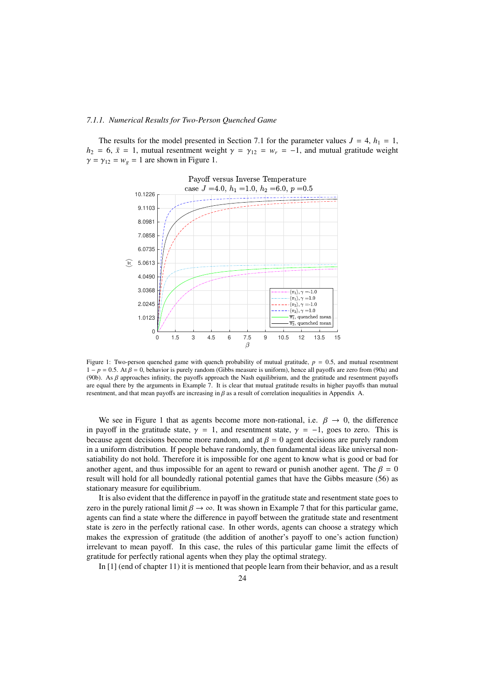#### *7.1.1. Numerical Results for Two-Person Quenched Game*

The results for the model presented in Section 7.1 for the parameter values  $J = 4$ ,  $h_1 = 1$ ,  $h_2 = 6$ ,  $\bar{x} = 1$ , mutual resentment weight  $\gamma = \gamma_{12} = w_r = -1$ , and mutual gratitude weight  $\gamma = \gamma_{12} = w_g = 1$  are shown in Figure 1.



Figure 1: Two-person quenched game with quench probability of mutual gratitude,  $p = 0.5$ , and mutual resentment  $1 - p = 0.5$ . At  $\beta = 0$ , behavior is purely random (Gibbs measure is uniform), hence all payoffs are zero from (90a) and (90b). As  $\beta$  approaches infinity, the payoffs approach the Nash equilibrium, and the gratitude and resentment payoffs are equal there by the arguments in Example 7. It is clear that mutual gratitude results in higher payoffs than mutual resentment, and that mean payoffs are increasing in  $\beta$  as a result of correlation inequalities in Appendix A.

We see in Figure 1 that as agents become more non-rational, i.e.  $\beta \to 0$ , the difference in payoff in the gratitude state,  $\gamma = 1$ , and resentment state,  $\gamma = -1$ , goes to zero. This is because agent decisions become more random, and at  $\beta = 0$  agent decisions are purely random in a uniform distribution. If people behave randomly, then fundamental ideas like universal nonsatiability do not hold. Therefore it is impossible for one agent to know what is good or bad for another agent, and thus impossible for an agent to reward or punish another agent. The  $\beta = 0$ result will hold for all boundedly rational potential games that have the Gibbs measure (56) as stationary measure for equilibrium.

It is also evident that the difference in payoff in the gratitude state and resentment state goes to zero in the purely rational limit  $\beta \to \infty$ . It was shown in Example 7 that for this particular game, agents can find a state where the difference in payoff between the gratitude state and resentment state is zero in the perfectly rational case. In other words, agents can choose a strategy which makes the expression of gratitude (the addition of another's payoff to one's action function) irrelevant to mean payoff. In this case, the rules of this particular game limit the effects of gratitude for perfectly rational agents when they play the optimal strategy.

In [1] (end of chapter 11) it is mentioned that people learn from their behavior, and as a result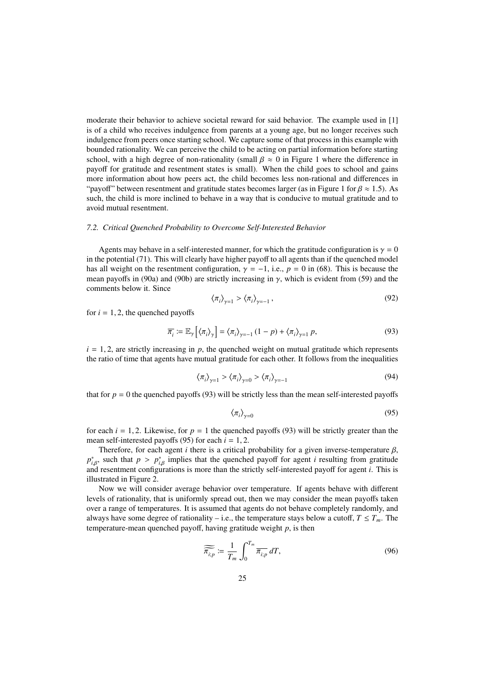moderate their behavior to achieve societal reward for said behavior. The example used in [1] is of a child who receives indulgence from parents at a young age, but no longer receives such indulgence from peers once starting school. We capture some of that process in this example with bounded rationality. We can perceive the child to be acting on partial information before starting school, with a high degree of non-rationality (small  $\beta \approx 0$  in Figure 1 where the difference in payoff for gratitude and resentment states is small). When the child goes to school and gains more information about how peers act, the child becomes less non-rational and differences in "payoff" between resentment and gratitude states becomes larger (as in Figure 1 for  $\beta \approx 1.5$ ). As such, the child is more inclined to behave in a way that is conducive to mutual gratitude and to avoid mutual resentment.

## *7.2. Critical Quenched Probability to Overcome Self-Interested Behavior*

Agents may behave in a self-interested manner, for which the gratitude configuration is  $\gamma = 0$ in the potential (71). This will clearly have higher payoff to all agents than if the quenched model has all weight on the resentment configuration,  $\gamma = -1$ , i.e.,  $p = 0$  in (68). This is because the mean payoffs in (90a) and (90b) are strictly increasing in  $\gamma$ , which is evident from (59) and the comments below it. Since

$$
\left\langle \pi_{i}\right\rangle _{\gamma=1}>\left\langle \pi_{i}\right\rangle _{\gamma=-1},\tag{92}
$$

for  $i = 1, 2$ , the quenched payoffs

$$
\overline{\pi_i} := \mathbb{E}_\gamma \left[ \langle \pi_i \rangle_\gamma \right] = \langle \pi_i \rangle_{\gamma = -1} \left( 1 - p \right) + \langle \pi_i \rangle_{\gamma = 1} p,\tag{93}
$$

 $i = 1, 2$ , are strictly increasing in  $p$ , the quenched weight on mutual gratitude which represents the ratio of time that agents have mutual gratitude for each other. It follows from the inequalities

$$
\langle \pi_i \rangle_{\gamma=1} > \langle \pi_i \rangle_{\gamma=0} > \langle \pi_i \rangle_{\gamma=-1}
$$
\n(94)

that for  $p = 0$  the quenched payoffs (93) will be strictly less than the mean self-interested payoffs

$$
\left\langle \pi_{i}\right\rangle _{\gamma=0} \tag{95}
$$

for each  $i = 1, 2$ . Likewise, for  $p = 1$  the quenched payoffs (93) will be strictly greater than the mean self-interested payoffs (95) for each  $i = 1, 2$ .

Therefore, for each agent *i* there is a critical probability for a given inverse-temperature  $\beta$ ,  $p_{i,\beta}^*$ , such that  $p > p_{i,\beta}^*$  implies that the quenched payoff for agent *i* resulting from gratitude and resent configurations is more than the strictly self-interested payoff for agent *i*. This is and resentment configurations is more than the strictly self-interested payoff for agent *i*. This is illustrated in Figure 2.

Now we will consider average behavior over temperature. If agents behave with different levels of rationality, that is uniformly spread out, then we may consider the mean payoffs taken over a range of temperatures. It is assumed that agents do not behave completely randomly, and always have some degree of rationality – i.e., the temperature stays below a cutoff,  $T \leq T_m$ . The temperature-mean quenched payoff, having gratitude weight *p*, is then

$$
\widetilde{\overline{\pi_{i,p}}} \coloneqq \frac{1}{T_m} \int_0^{T_m} \overline{\pi_{i,p}} \, dT,\tag{96}
$$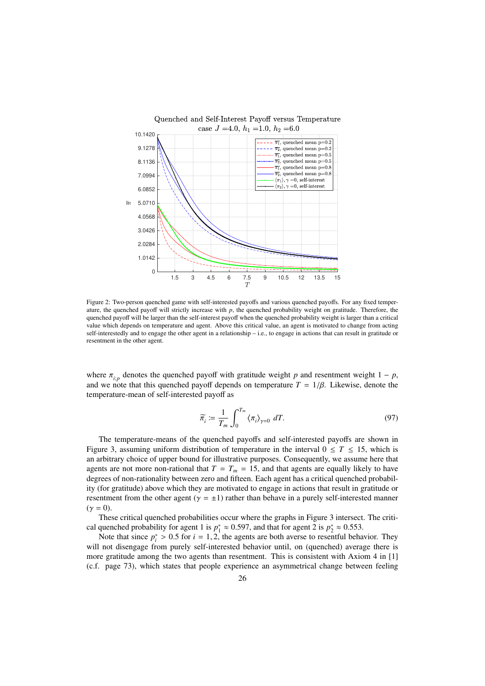

Figure 2: Two-person quenched game with self-interested payoffs and various quenched payoffs. For any fixed temperature, the quenched payoff will strictly increase with *p*, the quenched probability weight on gratitude. Therefore, the quenched payoff will be larger than the self-interest payoff when the quenched probability weight is larger than a critical value which depends on temperature and agent. Above this critical value, an agent is motivated to change from acting self-interestedly and to engage the other agent in a relationship – i.e., to engage in actions that can result in gratitude or resentment in the other agent.

where  $\pi_{i,p}$  denotes the quenched payoff with gratitude weight *p* and resentment weight  $1 - p$ ,<br>and we note that this quenched payoff depends on temperature  $T = 1/8$ . I ikewise, denote the and we note that this quenched payoff depends on temperature  $T = 1/\beta$ . Likewise, denote the temperature-mean of self-interested payoff as

$$
\widetilde{\pi_i} \coloneqq \frac{1}{T_m} \int_0^{T_m} \langle \pi_i \rangle_{\gamma=0} \, dT. \tag{97}
$$

The temperature-means of the quenched payoffs and self-interested payoffs are shown in Figure 3, assuming uniform distribution of temperature in the interval  $0 \le T \le 15$ , which is an arbitrary choice of upper bound for illustrative purposes. Consequently, we assume here that agents are not more non-rational that  $T = T_m = 15$ , and that agents are equally likely to have degrees of non-rationality between zero and fifteen. Each agent has a critical quenched probability (for gratitude) above which they are motivated to engage in actions that result in gratitude or resentment from the other agent ( $\gamma = \pm 1$ ) rather than behave in a purely self-interested manner  $(y = 0)$ .

These critical quenched probabilities occur where the graphs in Figure 3 intersect. The critical quenched probability for agent 1 is  $p_1^* \approx 0.597$ , and that for agent 2 is  $p_2^* \approx 0.553$ .<br>Note that since  $p^* > 0.5$  for  $i = 1, 2$ , the agents are both averse to resentful beha

Note that since  $p_i^* > 0.5$  for  $i = 1, 2$ , the agents are both averse to resentful behavior. They not disense from purely self-interested behavior until on (quenched) average there is will not disengage from purely self-interested behavior until, on (quenched) average there is more gratitude among the two agents than resentment. This is consistent with Axiom 4 in [1] (c.f. page 73), which states that people experience an asymmetrical change between feeling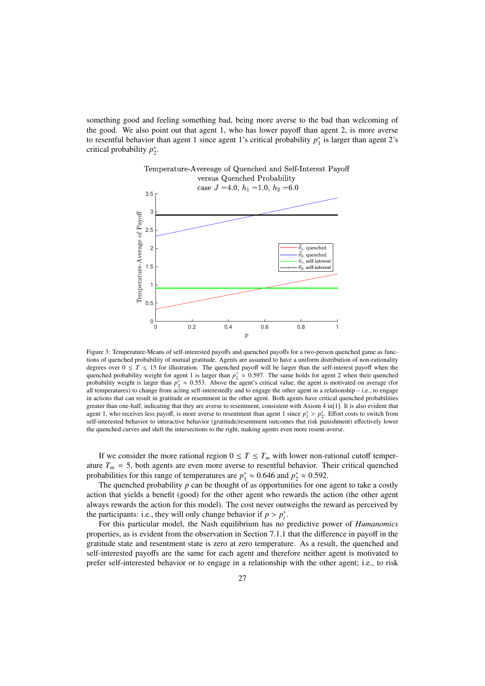something good and feeling something bad, being more averse to the bad than welcoming of the good. We also point out that agent 1, who has lower payoff than agent 2, is more averse to resentful behavior than agent 1 since agent 1's critical probability  $p_1^*$  is larger than agent 2's critical probability  $p_2^*$ .



Figure 3: Temperature-Means of self-interested payoffs and quenched payoffs for a two-person quenched game as functions of quenched probability of mutual gratitude. Agents are assumed to have a uniform distribution of non-rationality degrees over  $0 \leq T \leq 15$  for illustration. The quenched payoff will be larger than the self-interest payoff when the quenched probability weight for agent 1 is larger than  $p_1^* \approx 0.597$ . The same holds for agent 2 when their quenched<br>probability weight is larger than  $p^* \approx 0.553$ . Above the agent's critical value, the agent is motiva probability weight is larger than  $p_2^* \approx 0.553$ . Above the agent's critical value, the agent is motivated on average (for all temperatures) to change from acting self-interestedly and to engage the other agent in a rela all temperatures) to change from acting self-interestedly and to engage the other agent in a relationship – i.e., to engage in actions that can result in gratitude or resentment in the other agent. Both agents have critical quenched probabilities greater than one-half, indicating that they are averse to resentment, consistent with Axiom 4 in[1]. It is also evident that agent 1, who receives less payoff, is more averse to resentment than agent 1 since  $p_1^* > p_2^*$ . Effort costs to switch from self-interected behavior to interactive behavior (gratitude/recentment outcomes that risk punis self-interested behavior to interactive behavior (gratitude/resentment outcomes that risk punishment) effectively lower the quenched curves and shift the intersections to the right, making agents even more resent-averse.

If we consider the more rational region  $0 \le T \le T_m$  with lower non-rational cutoff temperature  $T_m = 5$ , both agents are even more averse to resentful behavior. Their critical quenched probabilities for this range of temperatures are  $p_1^* \approx 0.646$  and  $p_2^* \approx 0.592$ .<br>The quenched probability *n* can be thought of as opportunities for one

The quenched probability *p* can be thought of as opportunities for one agent to take a costly action that yields a benefit (good) for the other agent who rewards the action (the other agent always rewards the action for this model). The cost never outweighs the reward as perceived by the participants: i.e., they will only change behavior if  $p > p_i^*$ .<br>For this particular model, the Nash equilibrium has no

For this particular model, the Nash equilibrium has no predictive power of *Humanomics* properties, as is evident from the observation in Section 7.1.1 that the difference in payoff in the gratitude state and resentment state is zero at zero temperature. As a result, the quenched and self-interested payoffs are the same for each agent and therefore neither agent is motivated to prefer self-interested behavior or to engage in a relationship with the other agent; i.e., to risk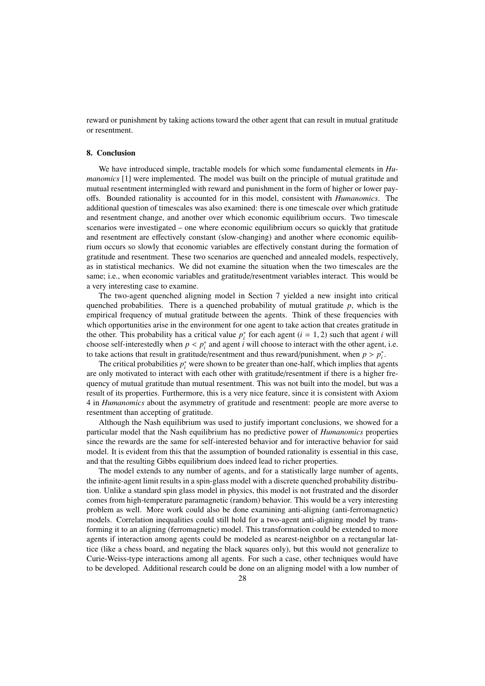reward or punishment by taking actions toward the other agent that can result in mutual gratitude or resentment.

### 8. Conclusion

We have introduced simple, tractable models for which some fundamental elements in *Humanomics* [1] were implemented. The model was built on the principle of mutual gratitude and mutual resentment intermingled with reward and punishment in the form of higher or lower payoffs. Bounded rationality is accounted for in this model, consistent with *Humanomics*. The additional question of timescales was also examined: there is one timescale over which gratitude and resentment change, and another over which economic equilibrium occurs. Two timescale scenarios were investigated – one where economic equilibrium occurs so quickly that gratitude and resentment are effectively constant (slow-changing) and another where economic equilibrium occurs so slowly that economic variables are effectively constant during the formation of gratitude and resentment. These two scenarios are quenched and annealed models, respectively, as in statistical mechanics. We did not examine the situation when the two timescales are the same; i.e., when economic variables and gratitude/resentment variables interact. This would be a very interesting case to examine.

The two-agent quenched aligning model in Section 7 yielded a new insight into critical quenched probabilities. There is a quenched probability of mutual gratitude *p*, which is the empirical frequency of mutual gratitude between the agents. Think of these frequencies with which opportunities arise in the environment for one agent to take action that creates gratitude in the other. This probability has a critical value  $p_i^*$  for each agent  $(i = 1, 2)$  such that agent *i* will choose self-interestedly when  $n \leq p^*$  and agent *i* will choose to interact with the other agent *i* e choose self-interestedly when  $p < p_i^*$  and agent *i* will choose to interact with the other agent, i.e.<br>to take actions that result in gratitude/resentment and thus reward/punishment, when  $p > p^*$ to take actions that result in gratitude/resentment and thus reward/punishment, when  $p > p_i^*$ .<br>The critical probabilities  $p^*$  were shown to be greater than one-half, which implies that age

The critical probabilities  $p_i^*$  were shown to be greater than one-half, which implies that agents are only motivated to interact with each other with gratitude/resentment if there is a higher frequency of mutual gratitude than mutual resentment. This was not built into the model, but was a result of its properties. Furthermore, this is a very nice feature, since it is consistent with Axiom 4 in *Humanomics* about the asymmetry of gratitude and resentment: people are more averse to resentment than accepting of gratitude.

Although the Nash equilibrium was used to justify important conclusions, we showed for a particular model that the Nash equilibrium has no predictive power of *Humanomics* properties since the rewards are the same for self-interested behavior and for interactive behavior for said model. It is evident from this that the assumption of bounded rationality is essential in this case, and that the resulting Gibbs equilibrium does indeed lead to richer properties.

The model extends to any number of agents, and for a statistically large number of agents, the infinite-agent limit results in a spin-glass model with a discrete quenched probability distribution. Unlike a standard spin glass model in physics, this model is not frustrated and the disorder comes from high-temperature paramagnetic (random) behavior. This would be a very interesting problem as well. More work could also be done examining anti-aligning (anti-ferromagnetic) models. Correlation inequalities could still hold for a two-agent anti-aligning model by transforming it to an aligning (ferromagnetic) model. This transformation could be extended to more agents if interaction among agents could be modeled as nearest-neighbor on a rectangular lattice (like a chess board, and negating the black squares only), but this would not generalize to Curie-Weiss-type interactions among all agents. For such a case, other techniques would have to be developed. Additional research could be done on an aligning model with a low number of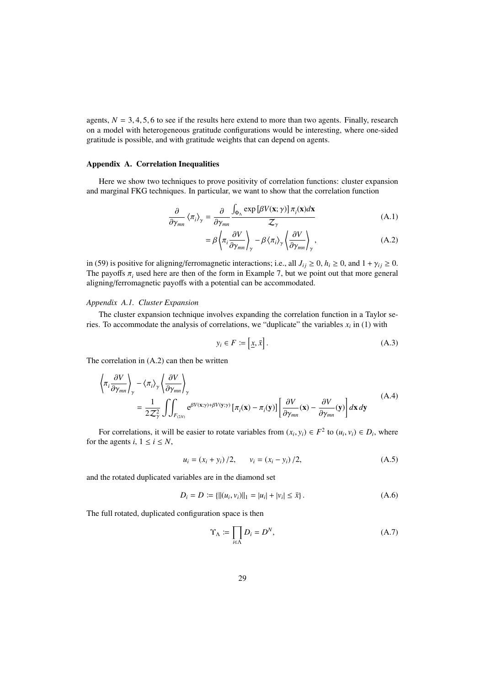agents,  $N = 3, 4, 5, 6$  to see if the results here extend to more than two agents. Finally, research on a model with heterogeneous gratitude configurations would be interesting, where one-sided gratitude is possible, and with gratitude weights that can depend on agents.

# Appendix A. Correlation Inequalities

Here we show two techniques to prove positivity of correlation functions: cluster expansion and marginal FKG techniques. In particular, we want to show that the correlation function

$$
\frac{\partial}{\partial \gamma_{mn}} \langle \pi_i \rangle_{\gamma} = \frac{\partial}{\partial \gamma_{mn}} \frac{\int_{\Phi_{\Lambda}} \exp \left[ \beta V(\mathbf{x}; \gamma) \right] \pi_i(\mathbf{x}) d\mathbf{x}}{Z_{\gamma}}
$$
(A.1)

$$
= \beta \left\langle \pi_i \frac{\partial V}{\partial \gamma_{mn}} \right\rangle_{\gamma} - \beta \left\langle \pi_i \right\rangle_{\gamma} \left\langle \frac{\partial V}{\partial \gamma_{mn}} \right\rangle_{\gamma}, \tag{A.2}
$$

in (59) is positive for aligning/ferromagnetic interactions; i.e., all  $J_{ij} \ge 0$ ,  $h_i \ge 0$ , and  $1 + \gamma_{ij} \ge 0$ . The payoffs  $\pi_i$  used here are then of the form in Example 7, but we point out that more general aligning/ferromagnetic payoffs with a potential can be accommodated aligning/ferromagnetic payoffs with a potential can be accommodated.

# *Appendix A.1. Cluster Expansion*

The cluster expansion technique involves expanding the correlation function in a Taylor series. To accommodate the analysis of correlations, we "duplicate" the variables  $x_i$  in (1) with

$$
y_i \in F := \left[ \underline{x}, \bar{x} \right]. \tag{A.3}
$$

The correlation in (A.2) can then be written

$$
\left\langle \pi_{i} \frac{\partial V}{\partial \gamma_{mn}} \right\rangle_{\gamma} - \left\langle \pi_{i} \right\rangle_{\gamma} \left\langle \frac{\partial V}{\partial \gamma_{mn}} \right\rangle_{\gamma} \n= \frac{1}{2 \mathcal{Z}_{\gamma}^{2}} \iint_{F_{(2N)}} e^{\beta V(\mathbf{x}; \gamma) + \beta V(\mathbf{y}; \gamma)} \left[ \pi_{i}(\mathbf{x}) - \pi_{i}(\mathbf{y}) \right] \left[ \frac{\partial V}{\partial \gamma_{mn}}(\mathbf{x}) - \frac{\partial V}{\partial \gamma_{mn}}(\mathbf{y}) \right] d\mathbf{x} d\mathbf{y}
$$
\n(A.4)

For correlations, it will be easier to rotate variables from  $(x_i, y_i) \in F^2$  to  $(u_i, v_i) \in D_i$ , where for the agents *i*,  $1 \le i \le N$ ,

$$
u_i = (x_i + y_i)/2, \qquad v_i = (x_i - y_i)/2,
$$
 (A.5)

and the rotated duplicated variables are in the diamond set

$$
D_i = D := \{ ||(u_i, v_i)||_1 = |u_i| + |v_i| \leq \bar{x} \}.
$$
 (A.6)

The full rotated, duplicated configuration space is then

$$
\Upsilon_{\Lambda} := \prod_{i \in \Lambda} D_i = D^N, \tag{A.7}
$$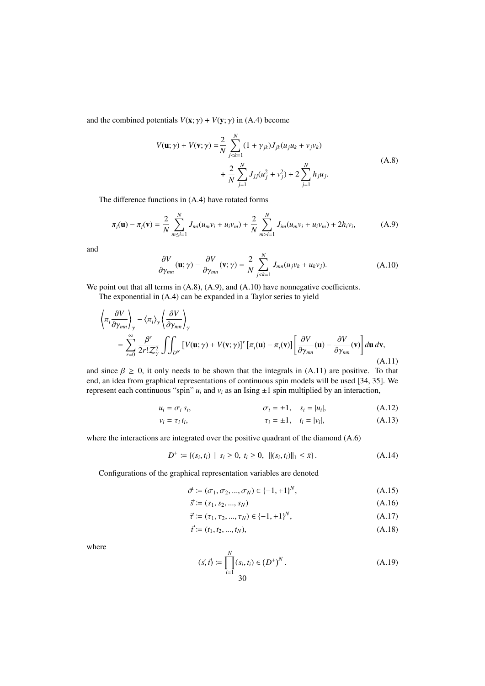and the combined potentials  $V(x; \gamma) + V(y; \gamma)$  in (A.4) become

$$
V(\mathbf{u}; \gamma) + V(\mathbf{v}; \gamma) = \frac{2}{N} \sum_{j < k=1}^{N} (1 + \gamma_{jk}) J_{jk}(u_j u_k + v_j v_k) + \frac{2}{N} \sum_{j=1}^{N} J_{jj}(u_j^2 + v_j^2) + 2 \sum_{j=1}^{N} h_j u_j.
$$
\n(A.8)

The difference functions in (A.4) have rotated forms

$$
\pi_i(\mathbf{u}) - \pi_i(\mathbf{v}) = \frac{2}{N} \sum_{m \le i=1}^N J_{mi}(u_m v_i + u_i v_m) + \frac{2}{N} \sum_{m > i=1}^N J_{im}(u_m v_i + u_i v_m) + 2h_i v_i,
$$
(A.9)

and

$$
\frac{\partial V}{\partial \gamma_{mn}}(\mathbf{u}; \gamma) - \frac{\partial V}{\partial \gamma_{mn}}(\mathbf{v}; \gamma) = \frac{2}{N} \sum_{j < k=1}^{N} J_{mn}(u_j v_k + u_k v_j). \tag{A.10}
$$

We point out that all terms in  $(A.8)$ ,  $(A.9)$ , and  $(A.10)$  have nonnegative coefficients. The exponential in (A.4) can be expanded in a Taylor series to yield

$$
\left\langle \pi_i \frac{\partial V}{\partial \gamma_{mn}} \right\rangle_{\gamma} - \left\langle \pi_i \right\rangle_{\gamma} \left\langle \frac{\partial V}{\partial \gamma_{mn}} \right\rangle_{\gamma}
$$
\n
$$
= \sum_{r=0}^{\infty} \frac{\beta^r}{2r! \mathcal{Z}_{\gamma}^2} \iint_{D^N} \left[ V(\mathbf{u}; \gamma) + V(\mathbf{v}; \gamma) \right]^r \left[ \pi_i(\mathbf{u}) - \pi_i(\mathbf{v}) \right] \left[ \frac{\partial V}{\partial \gamma_{mn}}(\mathbf{u}) - \frac{\partial V}{\partial \gamma_{mn}}(\mathbf{v}) \right] d\mathbf{u} \, d\mathbf{v}, \tag{A.11}
$$

and since  $\beta \ge 0$ , it only needs to be shown that the integrals in (A.11) are positive. To that end, an idea from graphical representations of continuous spin models will be used [34, 35]. We represent each continuous "spin"  $u_i$  and  $v_i$  as an Ising  $\pm 1$  spin multiplied by an interaction,

$$
u_i = \sigma_i s_i, \qquad \sigma_i = \pm 1, \quad s_i = |u_i|, \tag{A.12}
$$

$$
v_i = \tau_i t_i, \qquad \qquad \tau_i = \pm 1, \quad t_i = |v_i|, \tag{A.13}
$$

where the interactions are integrated over the positive quadrant of the diamond  $(A.6)$ 

$$
D^{+} := \{(s_i, t_i) \mid s_i \ge 0, t_i \ge 0, \ ||(s_i, t_i)||_1 \le \bar{x}\}.
$$
 (A.14)

Configurations of the graphical representation variables are denoted

$$
\vec{\sigma} := (\sigma_1, \sigma_2, ..., \sigma_N) \in \{-1, +1\}^N,
$$
\n(A.15)

$$
\vec{s} := (s_1, s_2, ..., s_N) \tag{A.16}
$$

$$
\vec{\tau} := (\tau_1, \tau_2, ..., \tau_N) \in \{-1, +1\}^N, \tag{A.17}
$$

$$
\vec{t} := (t_1, t_2, ..., t_N), \tag{A.18}
$$

where

$$
(\vec{s}, \vec{t}) \coloneqq \prod_{i=1}^{N} (s_i, t_i) \in (D^+)^N. \tag{A.19}
$$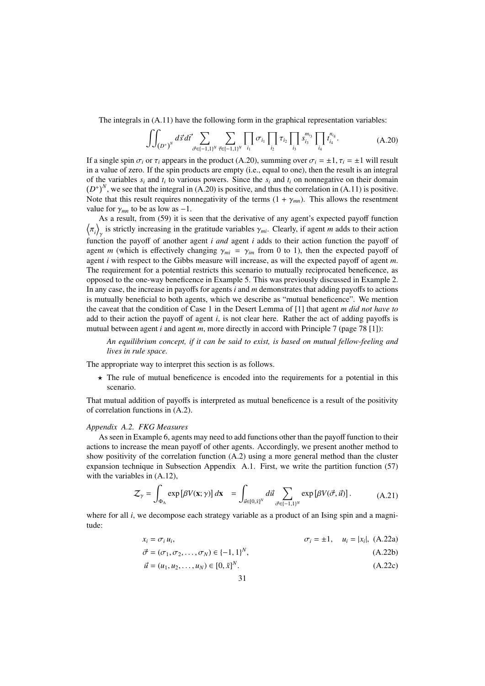The integrals in (A.11) have the following form in the graphical representation variables:

$$
\iint_{(D^*)^N} d\vec{s} d\vec{t} \sum_{\vec{\sigma} \in \{-1,1\}^N} \sum_{\vec{\tau} \in \{-1,1\}^N} \prod_{i_1} \sigma_{i_1} \prod_{i_2} \tau_{i_2} \prod_{i_3} s_{i_3}^{m_{i_3}} \prod_{i_4} t_{i_4}^{n_{i_4}}.
$$
 (A.20)

If a single spin  $\sigma_i$  or  $\tau_i$  appears in the product (A.20), summing over  $\sigma_i = \pm 1$ ,  $\tau_i = \pm 1$  will result in a value of zero. If the spin products are empty (i.e., equal to one), then the result is an integral of the variables  $s_i$  and  $t_i$  to various powers. Since the  $s_i$  and  $t_i$  on nonnegative on their domain  $(D^+)^N$ , we see that the integral in (A.20) is positive, and thus the correlation in (A.11) is positive. Note that this result requires nonnegativity of the terms  $(1 + \gamma_{mn})$ . This allows the resentment value for  $\gamma_{mn}$  to be as low as  $-1$ .

As a result, from (59) it is seen that the derivative of any agent's expected payoff function  $\overline{\mathcal{C}}$ π*i*  $\sum_{i=1}^{n}$  is strictly increasing in the gratitude variables  $\gamma_{mi}$ . Clearly, if agent *m* adds to their action function the payoff of another agent *i and* agent *i* adds to their action function the payoff of agent *m* (which is effectively changing  $\gamma_{mi} = \gamma_{im}$  from 0 to 1), then the expected payoff of agent *i* with respect to the Gibbs measure will increase, as will the expected payoff of agent *m*. The requirement for a potential restricts this scenario to mutually reciprocated beneficence, as opposed to the one-way beneficence in Example 5. This was previously discussed in Example 2. In any case, the increase in payoffs for agents *i* and *m* demonstrates that adding payoffs to actions is mutually beneficial to both agents, which we describe as "mutual beneficence". We mention the caveat that the condition of Case 1 in the Desert Lemma of [1] that agent *m did not have to* add to their action the payoff of agent *i*, is not clear here. Rather the act of adding payoffs is mutual between agent *i* and agent *m*, more directly in accord with Principle 7 (page 78 [1]):

*An equilibrium concept, if it can be said to exist, is based on mutual fellow-feeling and lives in rule space.*

The appropriate way to interpret this section is as follows.

 $\star$  The rule of mutual beneficence is encoded into the requirements for a potential in this scenario.

That mutual addition of payoffs is interpreted as mutual beneficence is a result of the positivity of correlation functions in (A.2).

#### *Appendix A.2. FKG Measures*

As seen in Example 6, agents may need to add functions other than the payoff function to their actions to increase the mean payoff of other agents. Accordingly, we present another method to show positivity of the correlation function (A.2) using a more general method than the cluster expansion technique in Subsection Appendix A.1. First, we write the partition function (57) with the variables in (A.12),

$$
\mathcal{Z}_{\gamma} = \int_{\Phi_{\Lambda}} \exp \left[ \beta V(\mathbf{x}; \gamma) \right] d\mathbf{x} = \int_{\vec{u} \in [0, \vec{x}]^{N}} d\vec{u} \sum_{\vec{\sigma} \in \{-1, 1\}^{N}} \exp \left[ \beta V(\vec{\sigma}, \vec{u}) \right]. \tag{A.21}
$$

where for all *i*, we decompose each strategy variable as a product of an Ising spin and a magnitude:

$$
x_i = \sigma_i u_i, \qquad \sigma_i = \pm 1, \quad u_i = |x_i|, \text{ (A.22a)}
$$

$$
\vec{\sigma} = (\sigma_1, \sigma_2, \dots, \sigma_N) \in \{-1, 1\}^N, \tag{A.22b}
$$

$$
\vec{u} = (u_1, u_2, \dots, u_N) \in [0, \bar{x}]^N.
$$
\n(A.22c)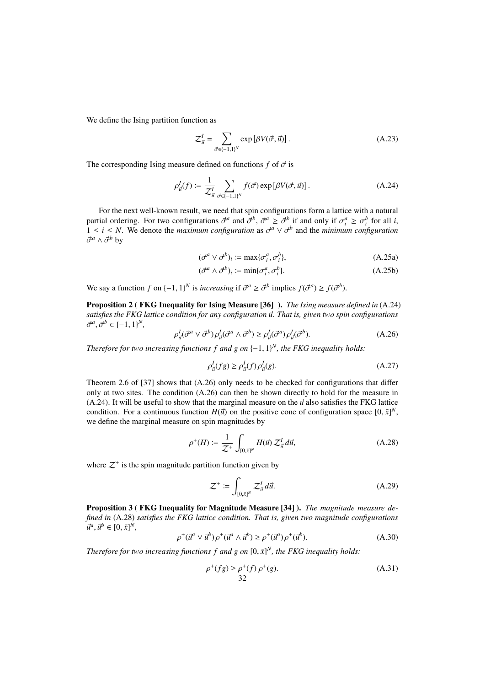We define the Ising partition function as

$$
\mathcal{Z}_{\vec{a}}^I = \sum_{\vec{\sigma} \in \{-1,1\}^N} \exp\left[\beta V(\vec{\sigma}, \vec{a})\right]. \tag{A.23}
$$

The corresponding Ising measure defined on functions *f* of  $\vec{\sigma}$  is

$$
\rho_{\vec{u}}^I(f) \coloneqq \frac{1}{\mathcal{Z}_{\vec{u}}^I} \sum_{\vec{\sigma} \in \{-1,1\}^N} f(\vec{\sigma}) \exp\left[\beta V(\vec{\sigma}, \vec{u})\right]. \tag{A.24}
$$

For the next well-known result, we need that spin configurations form a lattice with a natural partial ordering. For two configurations  $\vec{\sigma}^a$  and  $\vec{\sigma}^b$ ,  $\vec{\sigma}^a \geq \vec{\sigma}^b$  if and only if  $\sigma_i^a \geq \sigma_i^b$  for all *i*,  $i < N$ . We denote the maximum configuration as  $\vec{\sigma}^a \vee \vec{\sigma}^b$  and the minimum configura  $1 \le i \le N$ . We denote the *maximum configuration* as  $\vec{\sigma}^a \vee \vec{\sigma}^b$  and the *minimum configuration*  $\vec{\sigma}^a \wedge \vec{\sigma}^b$  by  $^a \wedge \vec{\sigma}^b$  by

$$
(\vec{\sigma}^a \vee \vec{\sigma}^b)_i \coloneqq \max\{\sigma_i^a, \sigma_i^b\},\tag{A.25a}
$$

$$
(\vec{\sigma}^a \wedge \vec{\sigma}^b)_i \coloneqq \min\{\sigma_i^a, \sigma_i^b\}.
$$
 (A.25b)

We say a function *f* on  $\{-1, 1\}^N$  is *increasing* if  $\vec{\sigma}^a \geq \vec{\sigma}^b$  implies  $f(\vec{\sigma}^a) \geq f(\vec{\sigma}^b)$ .

Proposition 2 ( FKG Inequality for Ising Measure [36] ). *The Ising measure defined in* (A.24) *satisfies the FKG lattice condition for any configuration* <sup>~</sup>*u. That is, given two spin configurations a*  $, \vec{\sigma}^b \in \{-1, 1\}^N,$ 

$$
\rho_{\vec{u}}^I(\vec{\sigma}^a \vee \vec{\sigma}^b) \rho_{\vec{u}}^I(\vec{\sigma}^a \wedge \vec{\sigma}^b) \ge \rho_{\vec{u}}^I(\vec{\sigma}^a) \rho_{\vec{u}}^I(\vec{\sigma}^b). \tag{A.26}
$$

*Therefore for two increasing functions f and g on* {−1, <sup>1</sup>} *N , the FKG inequality holds:*

$$
\rho_{\vec{u}}^I(fg) \ge \rho_{\vec{u}}^I(f)\rho_{\vec{u}}^I(g). \tag{A.27}
$$

Theorem 2.6 of [37] shows that (A.26) only needs to be checked for configurations that differ only at two sites. The condition (A.26) can then be shown directly to hold for the measure in (A.24). It will be useful to show that the marginal measure on the  $\vec{u}$  also satisfies the FKG lattice condition. For a continuous function  $H(\vec{u})$  on the positive cone of configuration space  $[0, \bar{x}]^N$ , we define the marginal measure on spin magnitudes by we define the marginal measure on spin magnitudes by

$$
\rho^+(H) := \frac{1}{Z^+} \int_{[0,\bar{x}]^N} H(\vec{u}) \, Z_d^I \, d\vec{u},\tag{A.28}
$$

where  $Z^+$  is the spin magnitude partition function given by

$$
\mathcal{Z}^+ := \int_{[0,\bar{x}]^N} \mathcal{Z}_{\vec{u}}^I d\vec{u}.
$$
 (A.29)

Proposition 3 ( FKG Inequality for Magnitude Measure [34] ). *The magnitude measure defined in* (A.28) *satisfies the FKG lattice condition. That is, given two magnitude configurations*  $\vec{u}^a, \vec{u}^b \in [0, \bar{x}]^N,$ 

$$
\rho^+ (\vec{u}^a \vee \vec{u}^b) \rho^+ (\vec{u}^a \wedge \vec{u}^b) \ge \rho^+ (\vec{u}^a) \rho^+ (\vec{u}^b). \tag{A.30}
$$

Therefore for two increasing functions  $f$  and  $g$  on  $[0, \bar{x}]^N$ , the FKG inequality holds:

$$
\rho^+(fg) \ge \rho^+(f) \rho^+(g). \tag{A.31}
$$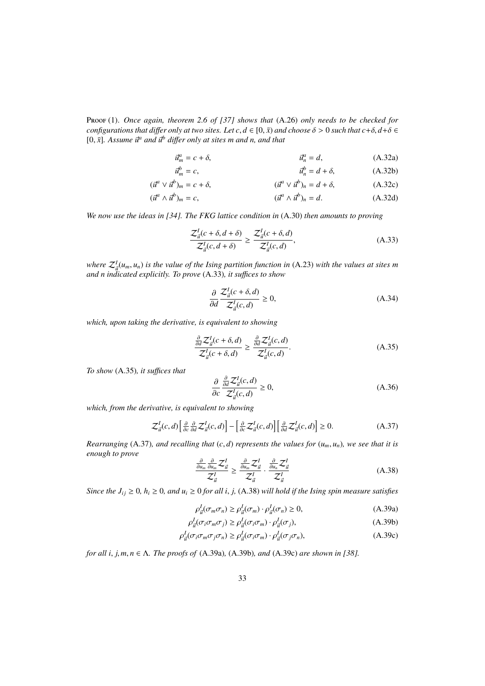Proof (1). *Once again, theorem 2.6 of [37] shows that* (A.26) *only needs to be checked for configurations that differ only at two sites. Let c,*  $d \in [0, \bar{x})$  *and choose*  $\delta > 0$  *such that c*+ $\delta$ ,  $d+\delta \in$  $[0, \bar{x}]$ *. Assume*  $\vec{u}^a$  *and*  $\vec{u}^b$  *differ only at sites m and n, and that* 

$$
\vec{u}_m^n = c + \delta, \qquad \qquad \vec{u}_n^n = d, \qquad (A.32a)
$$

$$
\vec{u}_m^b = c,\n\qquad \vec{u}_n^a = d + \delta,\n\qquad (A.32b)
$$
\n
$$
\vec{u}_m^a \vee \vec{u}_n^b = d + \delta,\n\qquad (A.32c)
$$

$$
(\vec{u}^a \vee \vec{u}^b)_m = c + \delta, \qquad (\vec{u}^a \vee \vec{u}^b)_n = d + \delta, \qquad (A.32c)
$$

$$
(\vec{u}^a \wedge \vec{u}^b)_m = c,\qquad (\vec{u}^a \wedge \vec{u}^b)_n = d.\tag{A.32d}
$$

*We now use the ideas in [34]. The FKG lattice condition in* (A.30) *then amounts to proving*

$$
\frac{\mathcal{Z}_{\vec{u}}^I(c+\delta, d+\delta)}{\mathcal{Z}_{\vec{u}}^I(c, d+\delta)} \ge \frac{\mathcal{Z}_{\vec{u}}^I(c+\delta, d)}{\mathcal{Z}_{\vec{u}}^I(c, d)},
$$
\n(A.33)

*where*  $Z_{\bar{u}}^I(u_m, u_n)$  *is the value of the Ising partition function in* (A.23) *with the values at sites m* and *n* indicated explicitly. To prove (A.33), it suffices to show.  $\sum_{\vec{a}}^{u}$   $\alpha_m$ ,  $\alpha_n$ , is the value of the ising paramon function  $\alpha$  and *n* indicated explicitly. To prove (A.33), it suffices to show

$$
\frac{\partial}{\partial d} \frac{\mathcal{Z}_{\vec{u}}^I(c+\delta, d)}{\mathcal{Z}_{\vec{u}}^I(c, d)} \ge 0,
$$
\n(A.34)

*which, upon taking the derivative, is equivalent to showing*

$$
\frac{\frac{\partial}{\partial d}Z_{\vec{u}}^I(c+\delta,d)}{Z_{\vec{u}}^I(c+\delta,d)} \ge \frac{\frac{\partial}{\partial d}Z_{\vec{u}}^I(c,d)}{Z_{\vec{u}}^I(c,d)}.
$$
\n(A.35)

*To show* (A.35)*, it suffices that* 

$$
\frac{\partial}{\partial c} \frac{\frac{\partial}{\partial d} \mathcal{Z}_{\vec{u}}^I(c, d)}{\mathcal{Z}_{\vec{u}}^I(c, d)} \ge 0,
$$
\n(A.36)

*which, from the derivative, is equivalent to showing*

$$
\mathcal{Z}_{\vec{u}}^{I}(c,d) \left[ \frac{\partial}{\partial c} \frac{\partial}{\partial d} \mathcal{Z}_{\vec{u}}^{I}(c,d) \right] - \left[ \frac{\partial}{\partial c} \mathcal{Z}_{\vec{u}}^{I}(c,d) \right] \left[ \frac{\partial}{\partial d} \mathcal{Z}_{\vec{u}}^{I}(c,d) \right] \ge 0.
$$
 (A.37)

*Rearranging* (A.37)*, and recalling that*  $(c, d)$  *represents the values for*  $(u_m, u_n)$ *, we see that it is enough to prove*

$$
\frac{\frac{\partial}{\partial u_m} \frac{\partial}{\partial u_m} Z_d^I}{Z_d^I} \ge \frac{\frac{\partial}{\partial u_m} Z_d^I}{Z_d^I} \cdot \frac{\frac{\partial}{\partial u_n} Z_d^I}{Z_d^I}
$$
\n(A.38)

*Since the*  $J_{ij} \geq 0$ ,  $h_i \geq 0$ , and  $u_i \geq 0$  *for all i, j,* (A.38) *will hold if the Ising spin measure satisfies* 

$$
\rho_d^I(\sigma_m \sigma_n) \ge \rho_d^I(\sigma_m) \cdot \rho_d^I(\sigma_n) \ge 0,
$$
\n(A.39a)

$$
\rho_{\vec{u}}^I(\sigma_i \sigma_m \sigma_j) \ge \rho_{\vec{u}}^I(\sigma_i \sigma_m) \cdot \rho_{\vec{u}}^I(\sigma_j),
$$
\n(A.39b)

$$
\rho_{il}^{I}(\sigma_{i}\sigma_{m}\sigma_{j}\sigma_{n}) \geq \rho_{il}^{I}(\sigma_{i}\sigma_{m}) \cdot \rho_{il}^{I}(\sigma_{j}\sigma_{n}), \tag{A.39c}
$$

*for all i*, *<sup>j</sup>*, *<sup>m</sup>*, *<sup>n</sup>* <sup>∈</sup> <sup>Λ</sup>*. The proofs of* (A.39a)*,* (A.39b)*, and* (A.39c) *are shown in [38].*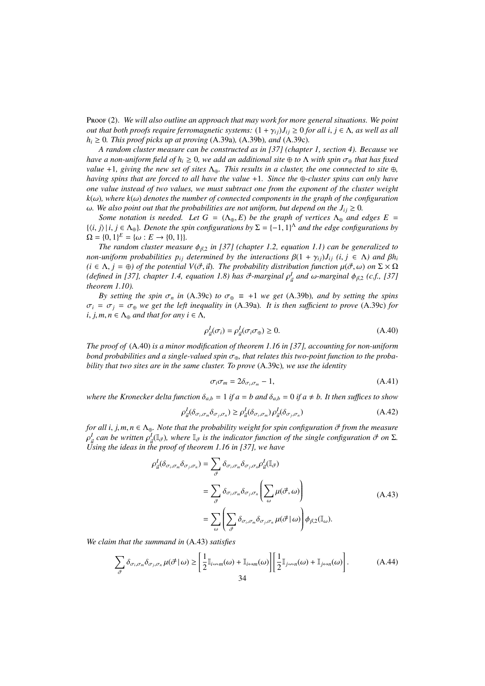Proof (2). *We will also outline an approach that may work for more general situations. We point out that both proofs require ferromagnetic systems:*  $(1 + \gamma_{ii})J_{ii} \ge 0$  *for all i, j* ∈  $\Lambda$ *, as well as all*  $h_i \geq 0$ *. This proof picks up at proving* (A.39a)*,* (A.39b)*, and* (A.39c)*.* 

*A random cluster measure can be constructed as in [37] (chapter 1, section 4). Because we have a non-uniform field of h*<sub>*i*</sub>  $\geq$  0*, we add an additional site*  $\oplus$  *to*  $\Lambda$  *with spin*  $\sigma_{\oplus}$  *that has fixed value* +1*, giving the new set of sites*  $Λ$ <sub>⊕</sub>*. This results in a cluster, the one connected to site* ⊕*, having spins that are forced to all have the value* +1*. Since the* ⊕*-cluster spins can only have one value instead of two values, we must subtract one from the exponent of the cluster weight*  $k(\omega)$ *, where k*( $\omega$ ) denotes the number of connected components in the graph of the configuration *ω*. We also point out that the probabilities are not uniform, but depend on the  $J_{ij}$  ≥ 0.

*Some notation is needed. Let*  $G = (\Lambda_{\oplus}, E)$  *be the graph of vertices*  $\Lambda_{\oplus}$  *and edges*  $E =$  $\{\langle i, j \rangle | i, j \in \Lambda_{\oplus}\}.$  Denote the spin configurations by  $\Sigma = \{-1, 1\}^{\Lambda}$  and the edge configurations by  $\Omega = \{0, 1\}^E = \{\omega : E \to \{0, 1\}\}$  $\Omega = \{0, 1\}^E = \{\omega : E \rightarrow \{0, 1\}\}.$ <br>The random cluster measure

*The random cluster measure*  $\phi_{\vec{p},2}$  *in* [37] (chapter 1.2, equation 1.1) can be generalized to <br>*initorm probabilities purdetermined by the interactions*  $B(1 + \chi_1)$  *L, (i, i, E, A) and Bh non-uniform probabilities*  $p_{ij}$  *determined by the interactions*  $\beta(1 + \gamma_{ij})J_{ij}$  (*i*, *j*  $\in \Lambda$ ) *and*  $\beta h_i$  $(i \in \Lambda, j = \Theta)$  of the potential  $V(\vec{\sigma}, \vec{u})$ . The probability distribution function  $\mu(\vec{\sigma}, \omega)$  on  $\Sigma \times \Omega$  $(d$ *efined in [37], chapter 1.4, equation 1.8) has*  $\vec{\sigma}$ *-marginal*  $\rho^I_{\vec{u}}$  *and*  $\omega$ *-marginal*  $\phi_{\vec{p},2}$  *(c.f., [37] theorem 1 10) theorem 1.10).*

*By setting the spin*  $\sigma_n$  *in* (A.39c) *to*  $\sigma_{\oplus} \equiv +1$  *we get* (A.39b)*, and by setting the spins*  $\sigma_i = \sigma_j = \sigma_{\oplus}$  we get the left inequality in (A.39a). It is then sufficient to prove (A.39c) for  $i, j, m, n \in \Lambda_{\oplus}$  *and that for any*  $i \in \Lambda$ ,

$$
\rho_{\vec{u}}^I(\sigma_i) = \rho_{\vec{u}}^I(\sigma_i \sigma_{\oplus}) \ge 0.
$$
\n(A.40)

*The proof of* (A.40) *is a minor modification of theorem 1.16 in [37], accounting for non-uniform bond probabilities and a single-valued spin*  $\sigma_{\theta}$ , that relates this two-point function to the proba*bility that two sites are in the same cluster. To prove* (A.39c)*, we use the identity*

$$
\sigma_i \sigma_m = 2\delta_{\sigma_i, \sigma_m} - 1, \tag{A.41}
$$

*where the Kronecker delta function*  $\delta_{a,b} = 1$  *if a* = *b* and  $\delta_{a,b} = 0$  *if a*  $\neq$  *b. It then suffices to show* 

$$
\rho_{\vec{u}}^I(\delta_{\sigma_i,\sigma_m}\delta_{\sigma_j,\sigma_n}) \ge \rho_{\vec{u}}^I(\delta_{\sigma_i,\sigma_m})\rho_{\vec{u}}^I(\delta_{\sigma_j,\sigma_n})
$$
\n(A.42)

*for all i, j, m, n*  $\in$   $\Lambda_{\oplus}$ *. Note that the probability weight for spin configuration*  $\vec{\sigma}$  *from the measure*  $p_{\vec{u}}$  can be written  $p_{\vec{u}}(x_{\sigma})$ , where  $x_{\sigma}$  is the indicator function.<br>Using the ideas in the proof of theorem 1.16 in [37], we have *I*<sub>*i*</sub> can be written  $ρ$ <sup>*I*</sup><sub>*I*</sub>(*I*<sub>*i*</sub><sup>*j*</sup>), where  $\mathbb{I}_{\vec{\sigma}}$  is the indicator function of the single configuration  $\vec{\sigma}$  on  $\Sigma$ .<br>*Ising the ideas in the proof of theorem 1.16 in 1371 we have* 

$$
\rho_{i\vec{l}}^I(\delta_{\sigma_i,\sigma_m}\delta_{\sigma_j,\sigma_n}) = \sum_{\vec{\sigma}} \delta_{\sigma_i,\sigma_m}\delta_{\sigma_j,\sigma_n}\rho_{i\vec{l}}^I(\mathbb{I}_{\vec{\sigma}})
$$
\n
$$
= \sum_{\vec{\sigma}} \delta_{\sigma_i,\sigma_m}\delta_{\sigma_j,\sigma_n} \left(\sum_{\omega} \mu(\vec{\sigma},\omega)\right)
$$
\n
$$
= \sum_{\omega} \left(\sum_{\vec{\sigma}} \delta_{\sigma_i,\sigma_m}\delta_{\sigma_j,\sigma_n} \mu(\vec{\sigma} \,|\, \omega)\right) \phi_{\vec{p},2}(\mathbb{I}_{\omega}).
$$
\n(A.43)

*We claim that the summand in* (A.43) *satisfies*

$$
\sum_{\vec{\sigma}} \delta_{\sigma_i, \sigma_m} \delta_{\sigma_j, \sigma_n} \mu(\vec{\sigma} \mid \omega) \ge \left[ \frac{1}{2} \mathbb{I}_{i \leftrightarrow m}(\omega) + \mathbb{I}_{i \leftrightarrow m}(\omega) \right] \left[ \frac{1}{2} \mathbb{I}_{j \leftrightarrow n}(\omega) + \mathbb{I}_{j \leftrightarrow n}(\omega) \right].
$$
 (A.44)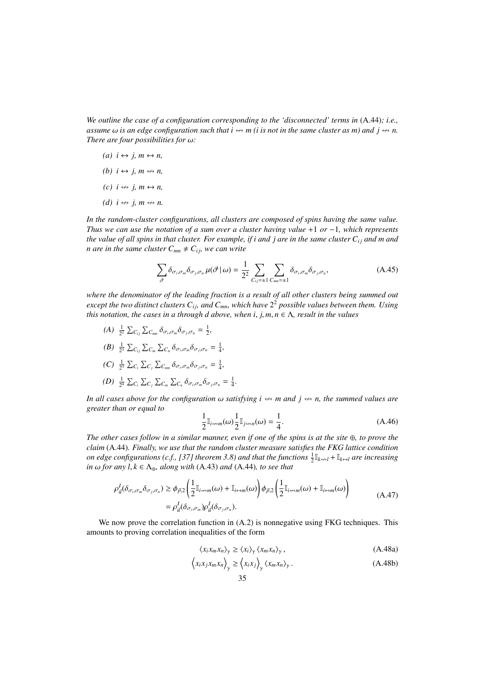We outline the case of a configuration corresponding to the 'disconnected' terms in  $(A.44)$ ; i.e., *assume*  $\omega$  *is an edge configuration such that i*  $\Leftrightarrow$  *m* (*i is not in the same cluster as m*) and *j*  $\Leftrightarrow$  *n. There are four possibilities for* ω*:*

- $(a)$   $i \leftrightarrow j$ ,  $m \leftrightarrow n$ ,
- *(b)*  $i \leftrightarrow j$ ,  $m \nleftrightarrow n$ ,
- $(c)$  *i*  $\leftrightarrow$  *j*, *m*  $\leftrightarrow$  *n*,
- *(d)*  $i \leftrightarrow j$ ,  $m \leftrightarrow n$ .

*In the random-cluster configurations, all clusters are composed of spins having the same value. Thus we can use the notation of a sum over a cluster having value* +1 *or* −1*, which represents the value of all spins in that cluster. For example, if i and j are in the same cluster Ci j and m and n* are in the same cluster  $C_{mn} \neq C_{ij}$ , we can write

$$
\sum_{\vec{\sigma}} \delta_{\sigma_i, \sigma_m} \delta_{\sigma_j, \sigma_n} \mu(\vec{\sigma} \,|\, \omega) = \frac{1}{2^2} \sum_{C_{ij}=\pm 1} \sum_{C_{mn}=\pm 1} \delta_{\sigma_i, \sigma_m} \delta_{\sigma_j, \sigma_n},\tag{A.45}
$$

*where the denominator of the leading fraction is a result of all other clusters being summed out* except the two distinct clusters  $C_{ij}$ *, and*  $C_{mn}$ *, which have*  $2^2$  possible values between them. Using *this notation, the cases in a through d above, when i*, *<sup>j</sup>*, *<sup>m</sup>*, *<sup>n</sup>* <sup>∈</sup> <sup>Λ</sup>*, result in the values*

- $(A)$   $\frac{1}{2^2} \sum_{i} C_{ij} \sum_{i} C_{mn} \delta_{\sigma_i, \sigma_m} \delta_{\sigma_j, \sigma_n} = \frac{1}{2},$
- $(B) \frac{1}{2^3} \sum_{i} C_{ij} \sum_{m} C_m \sum_{m} \delta_{\sigma_i, \sigma_m} \delta_{\sigma_j, \sigma_n} = \frac{1}{4},$
- $(C)$   $\frac{1}{2^3} \sum_{i} C_i \sum_{j} C_{j} \sum_{k} C_{mn} \delta_{\sigma_i, \sigma_m} \delta_{\sigma_j, \sigma_n} = \frac{1}{4},$
- $(D)$   $\frac{1}{2^4} \sum_{i}^{n} \sum_{i}^{n} \sum_{j}^{n} \sum_{i}^{n} C_{m} \sum_{i}^{n} C_{n} \delta_{\sigma_i, \sigma_m} \delta_{\sigma_j, \sigma_n} = \frac{1}{4}.$

*In all cases above for the configuration*  $\omega$  *satisfying*  $i \leftrightarrow m$  *and*  $j \leftrightarrow n$ *, the summed values are greater than or equal to*

$$
\frac{1}{2}\mathbb{I}_{i\leftrightarrow m}(\omega)\frac{1}{2}\mathbb{I}_{j\leftrightarrow n}(\omega) = \frac{1}{4}.
$$
\n(A.46)

*The other cases follow in a similar manner, even if one of the spins is at the site* ⊕*, to prove the claim* (A.44)*. Finally, we use that the random cluster measure satisfies the FKG lattice condition on edge configurations (c.f., [37] theorem 3.8) and that the functions*  $\frac{1}{2} \mathbb{I}_{k \leftrightarrow l} + \mathbb{I}_{k \leftrightarrow l}$  are increasing *in*  $\omega$  *for any l*,  $k \in \Lambda_{\oplus}$ *, along with* (A.43) *and* (A.44)*, to see that* 

$$
\rho_{i\bar{l}}^{I}(\delta_{\sigma_{i},\sigma_{m}}\delta_{\sigma_{j},\sigma_{n}}) \geq \phi_{\vec{p},2} \left( \frac{1}{2} \mathbb{I}_{i \leftrightarrow m}(\omega) + \mathbb{I}_{i \leftrightarrow m}(\omega) \right) \phi_{\vec{p},2} \left( \frac{1}{2} \mathbb{I}_{i \leftrightarrow m}(\omega) + \mathbb{I}_{i \leftrightarrow m}(\omega) \right)
$$
\n
$$
= \rho_{i\bar{l}}^{I}(\delta_{\sigma_{i},\sigma_{m}}) \rho_{i\bar{l}}^{I}(\delta_{\sigma_{j},\sigma_{n}}).
$$
\n(A.47)

We now prove the correlation function in  $(A.2)$  is nonnegative using FKG techniques. This amounts to proving correlation inequalities of the form

$$
\langle x_i x_m x_n \rangle_{\gamma} \ge \langle x_i \rangle_{\gamma} \langle x_m x_n \rangle_{\gamma}, \tag{A.48a}
$$

$$
\left\langle x_i x_j x_m x_n \right\rangle_{\gamma} \ge \left\langle x_i x_j \right\rangle_{\gamma} \left\langle x_m x_n \right\rangle_{\gamma} . \tag{A.48b}
$$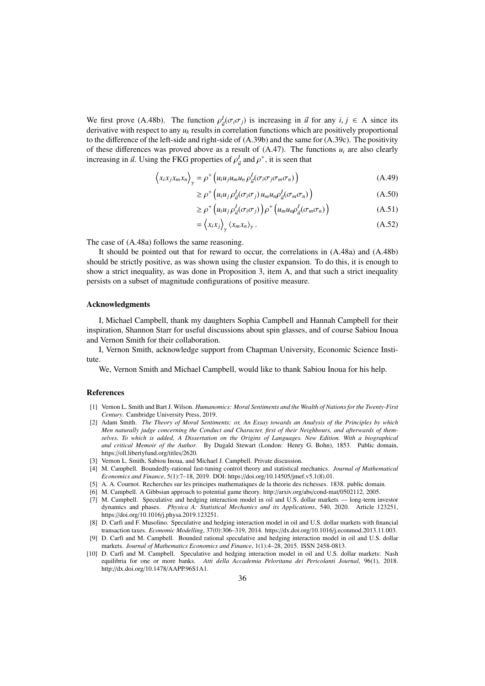We first prove (A.48b). The function  $\rho_d^I(\sigma_i \sigma_j)$  is increasing in  $\vec{u}$  for any  $i, j \in \Lambda$  since its derivative with respect to any  $u_i$  results in correlation functions which are positively proportional derivative with respect to any  $u_k$  results in correlation functions which are positively proportional to the difference of the left-side and right-side of (A.39b) and the same for (A.39c). The positivity of these differences was proved above as a result of  $(A.47)$ . The functions  $u_i$  are also clearly increasing in  $\vec{u}$ . Using the FKG properties of  $\rho_{\vec{u}}^I$  and  $\rho^+$ , it is seen that

$$
\left\langle x_i x_j x_m x_n \right\rangle_{\gamma} = \rho^+ \left( u_i u_j u_m u_n \rho_{\vec{u}}^I (\sigma_i \sigma_j \sigma_m \sigma_n) \right)
$$
\n(A.49)

$$
\geq \rho^+ \left( u_i u_j \rho_{i\bar{l}}^I (\sigma_i \sigma_j) u_m u_n \rho_{i\bar{l}}^I (\sigma_m \sigma_n) \right) \tag{A.50}
$$

$$
\geq \rho^+ \left( u_i u_j \rho_{i\bar{l}}^l (\sigma_i \sigma_j) \right) \rho^+ \left( u_m u_n \rho_{i\bar{l}}^l (\sigma_m \sigma_n) \right) \tag{A.51}
$$

$$
= \left\langle x_i x_j \right\rangle_{\gamma} \left\langle x_m x_n \right\rangle_{\gamma} . \tag{A.52}
$$

The case of (A.48a) follows the same reasoning.

It should be pointed out that for reward to occur, the correlations in (A.48a) and (A.48b) should be strictly positive, as was shown using the cluster expansion. To do this, it is enough to show a strict inequality, as was done in Proposition 3, item A, and that such a strict inequality persists on a subset of magnitude configurations of positive measure.

γ

## Acknowledgments

I, Michael Campbell, thank my daughters Sophia Campbell and Hannah Campbell for their inspiration, Shannon Starr for useful discussions about spin glasses, and of course Sabiou Inoua and Vernon Smith for their collaboration.

I, Vernon Smith, acknowledge support from Chapman University, Economic Science Institute.

We, Vernon Smith and Michael Campbell, would like to thank Sabiou Inoua for his help.

#### References

- [1] Vernon L. Smith and Bart J. Wilson. *Humanomics: Moral Sentiments and the Wealth of Nations for the Twenty-First Century*. Cambridge University Press, 2019.
- [2] Adam Smith. *The Theory of Moral Sentiments; or, An Essay towards an Analysis of the Principles by which Men naturally judge concerning the Conduct and Character, first of their Neighbours, and afterwards of themselves. To which is added, A Dissertation on the Origins of Languages. New Edition. With a biographical and critical Memoir of the Author*. By Dugald Stewart (London: Henry G. Bohn), 1853. Public domain, https://oll.libertyfund.org/titles/2620.
- [3] Vernon L. Smith, Sabiou Inoua, and Michael J. Campbell. Private discussion.
- [4] M. Campbell. Boundedly-rational fast-tuning control theory and statistical mechanics. *Journal of Mathematical Economics and Finance*, 5(1):7–18, 2019. DOI: https://doi.org/10.14505/jmef.v5.1(8).01.
- [5] A. A. Cournot. Recherches sur les principes mathematiques de la theorie des richesses. 1838. public domain.
- [6] M. Campbell. A Gibbsian approach to potential game theory. http://arxiv.org/abs/cond-mat/0502112, 2005.
- [7] M. Campbell. Speculative and hedging interaction model in oil and U.S. dollar markets long-term investor dynamics and phases. *Physica A: Statistical Mechanics and its Applications*, 540, 2020. Article 123251, https://doi.org/10.1016/j.physa.2019.123251.
- [8] D. Carfì and F. Musolino. Speculative and hedging interaction model in oil and U.S. dollar markets with financial transaction taxes. *Economic Modelling*, 37(0):306–319, 2014. https://dx.doi.org/10.1016/j.econmod.2013.11.003.
- [9] D. Carfì and M. Campbell. Bounded rational speculative and hedging interaction model in oil and U.S. dollar markets. *Journal of Mathematics Economics and Finance*, 1(1):4–28, 2015. ISSN 2458-0813.
- [10] D. Carfì and M. Campbell. Speculative and hedging interaction model in oil and U.S. dollar markets: Nash equilibria for one or more banks. *Atti della Accademia Peloritana dei Pericolanti Journal*, 96(1), 2018. http://dx.doi.org/10.1478/AAPP.96S1A1.